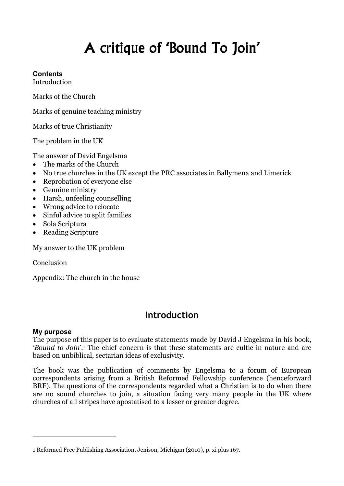# A critique of 'Bound To Join'

# **Contents**

Introduction

Marks of the Church

Marks of genuine teaching ministry

Marks of true Christianity

The problem in the UK

The answer of David Engelsma

- The marks of the Church
- No true churches in the UK except the PRC associates in Ballymena and Limerick
- Reprobation of everyone else
- Genuine ministry
- Harsh, unfeeling counselling
- Wrong advice to relocate
- Sinful advice to split families
- Sola Scriptura
- Reading Scripture

My answer to the UK problem

Conclusion

Appendix: The church in the house

# Introduction

### My purpose

I

The purpose of this paper is to evaluate statements made by David J Engelsma in his book, 'Bound to Join'.<sup>1</sup> The chief concern is that these statements are cultic in nature and are based on unbiblical, sectarian ideas of exclusivity.

The book was the publication of comments by Engelsma to a forum of European correspondents arising from a British Reformed Fellowship conference (henceforward BRF). The questions of the correspondents regarded what a Christian is to do when there are no sound churches to join, a situation facing very many people in the UK where churches of all stripes have apostatised to a lesser or greater degree.

<sup>1</sup> Reformed Free Publishing Association, Jenison, Michigan (2010), p. xi plus 167.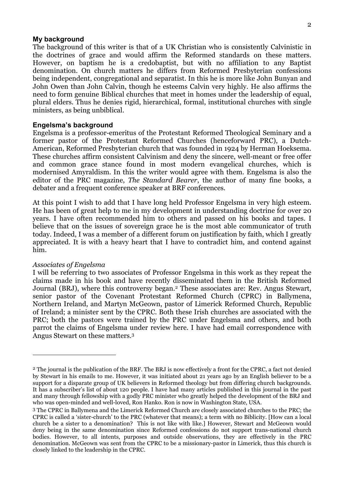#### My background

The background of this writer is that of a UK Christian who is consistently Calvinistic in the doctrines of grace and would affirm the Reformed standards on these matters. However, on baptism he is a credobaptist, but with no affiliation to any Baptist denomination. On church matters he differs from Reformed Presbyterian confessions being independent, congregational and separatist. In this he is more like John Bunyan and John Owen than John Calvin, though he esteems Calvin very highly. He also affirms the need to form genuine Biblical churches that meet in homes under the leadership of equal, plural elders. Thus he denies rigid, hierarchical, formal, institutional churches with single ministers, as being unbiblical.

#### Engelsma's background

Engelsma is a professor-emeritus of the Protestant Reformed Theological Seminary and a former pastor of the Protestant Reformed Churches (henceforward PRC), a Dutch-American, Reformed Presbyterian church that was founded in 1924 by Herman Hoeksema. These churches affirm consistent Calvinism and deny the sincere, well-meant or free offer and common grace stance found in most modern evangelical churches, which is modernised Amyraldism. In this the writer would agree with them. Engelsma is also the editor of the PRC magazine, The Standard Bearer, the author of many fine books, a debater and a frequent conference speaker at BRF conferences.

At this point I wish to add that I have long held Professor Engelsma in very high esteem. He has been of great help to me in my development in understanding doctrine for over 20 years. I have often recommended him to others and passed on his books and tapes. I believe that on the issues of sovereign grace he is the most able communicator of truth today. Indeed, I was a member of a different forum on justification by faith, which I greatly appreciated. It is with a heavy heart that I have to contradict him, and contend against him.

#### Associates of Engelsma

 $\overline{a}$ 

I will be referring to two associates of Professor Engelsma in this work as they repeat the claims made in his book and have recently disseminated them in the British Reformed Journal (BRJ), where this controversy began.2 These associates are: Rev. Angus Stewart, senior pastor of the Covenant Protestant Reformed Church (CPRC) in Ballymena, Northern Ireland, and Martyn McGeown, pastor of Limerick Reformed Church, Republic of Ireland; a minister sent by the CPRC. Both these Irish churches are associated with the PRC; both the pastors were trained by the PRC under Engelsma and others, and both parrot the claims of Engelsma under review here. I have had email correspondence with Angus Stewart on these matters.<sup>3</sup>

<sup>2</sup> The journal is the publication of the BRF. The BRJ is now effectively a front for the CPRC, a fact not denied by Stewart in his emails to me. However, it was initiated about 21 years ago by an English believer to be a support for a disparate group of UK believers in Reformed theology but from differing church backgrounds. It has a subscriber's list of about 120 people. I have had many articles published in this journal in the past and many through fellowship with a godly PRC minister who greatly helped the development of the BRJ and who was open-minded and well-loved, Ron Hanko. Ron is now in Washington State, USA.

<sup>3</sup> The CPRC in Ballymena and the Limerick Reformed Church are closely associated churches to the PRC; the CPRC is called a 'sister-church' to the PRC (whatever that means); a term with no Biblicity. [How can a local church be a sister to a denomination? This is not like with like.] However, Stewart and McGeown would deny being in the same denomination since Reformed confessions do not support trans-national church bodies. However, to all intents, purposes and outside observations, they are effectively in the PRC denomination. McGeown was sent from the CPRC to be a missionary-pastor in Limerick, thus this church is closely linked to the leadership in the CPRC.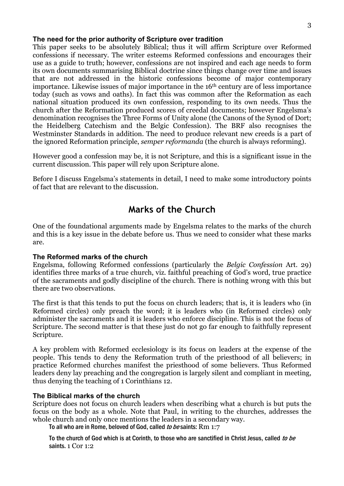#### The need for the prior authority of Scripture over tradition

This paper seeks to be absolutely Biblical; thus it will affirm Scripture over Reformed confessions if necessary. The writer esteems Reformed confessions and encourages their use as a guide to truth; however, confessions are not inspired and each age needs to form its own documents summarising Biblical doctrine since things change over time and issues that are not addressed in the historic confessions become of major contemporary importance. Likewise issues of major importance in the 16th century are of less importance today (such as vows and oaths). In fact this was common after the Reformation as each national situation produced its own confession, responding to its own needs. Thus the church after the Reformation produced scores of creedal documents; however Engelsma's denomination recognises the Three Forms of Unity alone (the Canons of the Synod of Dort; the Heidelberg Catechism and the Belgic Confession). The BRF also recognises the Westminster Standards in addition. The need to produce relevant new creeds is a part of the ignored Reformation principle, semper reformanda (the church is always reforming).

However good a confession may be, it is not Scripture, and this is a significant issue in the current discussion. This paper will rely upon Scripture alone.

Before I discuss Engelsma's statements in detail, I need to make some introductory points of fact that are relevant to the discussion.

# Marks of the Church

One of the foundational arguments made by Engelsma relates to the marks of the church and this is a key issue in the debate before us. Thus we need to consider what these marks are.

#### The Reformed marks of the church

Engelsma, following Reformed confessions (particularly the Belgic Confession Art. 29) identifies three marks of a true church, viz. faithful preaching of God's word, true practice of the sacraments and godly discipline of the church. There is nothing wrong with this but there are two observations.

The first is that this tends to put the focus on church leaders; that is, it is leaders who (in Reformed circles) only preach the word; it is leaders who (in Reformed circles) only administer the sacraments and it is leaders who enforce discipline. This is not the focus of Scripture. The second matter is that these just do not go far enough to faithfully represent Scripture.

A key problem with Reformed ecclesiology is its focus on leaders at the expense of the people. This tends to deny the Reformation truth of the priesthood of all believers; in practice Reformed churches manifest the priesthood of some believers. Thus Reformed leaders deny lay preaching and the congregation is largely silent and compliant in meeting, thus denying the teaching of 1 Corinthians 12.

#### The Biblical marks of the church

Scripture does not focus on church leaders when describing what a church is but puts the focus on the body as a whole. Note that Paul, in writing to the churches, addresses the whole church and only once mentions the leaders in a secondary way.

To all who are in Rome, beloved of God, called to be saints: Rm 1:7

To the church of God which is at Corinth, to those who are sanctified in Christ Jesus, called to be saints. 1 Cor 1:2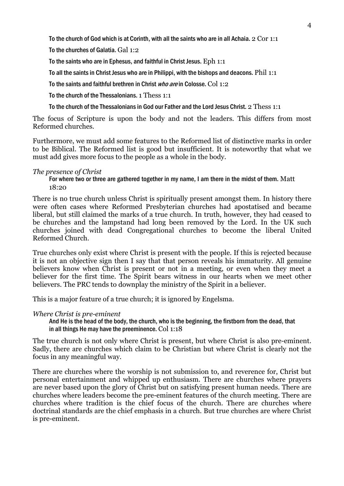To the church of God which is at Corinth, with all the saints who are in all Achaia.  $2$  Cor 1:1

To the churches of Galatia. Gal 1:2

To the saints who are in Ephesus, and faithful in Christ Jesus. Eph 1:1

To all the saints in Christ Jesus who are in Philippi, with the bishops and deacons. Phil 1:1

To the saints and faithful brethren in Christ *who are* in Colosse. Col 1:2

To the church of the Thessalonians. 1 Thess 1:1

To the church of the Thessalonians in God our Father and the Lord Jesus Christ. 2 Thess 1:1

The focus of Scripture is upon the body and not the leaders. This differs from most Reformed churches.

Furthermore, we must add some features to the Reformed list of distinctive marks in order to be Biblical. The Reformed list is good but insufficient. It is noteworthy that what we must add gives more focus to the people as a whole in the body.

#### The presence of Christ

For where two or three are gathered together in my name, I am there in the midst of them. Matt 18:20

There is no true church unless Christ is spiritually present amongst them. In history there were often cases where Reformed Presbyterian churches had apostatised and became liberal, but still claimed the marks of a true church. In truth, however, they had ceased to be churches and the lampstand had long been removed by the Lord. In the UK such churches joined with dead Congregational churches to become the liberal United Reformed Church.

True churches only exist where Christ is present with the people. If this is rejected because it is not an objective sign then I say that that person reveals his immaturity. All genuine believers know when Christ is present or not in a meeting, or even when they meet a believer for the first time. The Spirit bears witness in our hearts when we meet other believers. The PRC tends to downplay the ministry of the Spirit in a believer.

This is a major feature of a true church; it is ignored by Engelsma.

Where Christ is pre-eminent

And He is the head of the body, the church, who is the beginning, the firstborn from the dead, that in all things He may have the preeminence. Col 1:18

The true church is not only where Christ is present, but where Christ is also pre-eminent. Sadly, there are churches which claim to be Christian but where Christ is clearly not the focus in any meaningful way.

There are churches where the worship is not submission to, and reverence for, Christ but personal entertainment and whipped up enthusiasm. There are churches where prayers are never based upon the glory of Christ but on satisfying present human needs. There are churches where leaders become the pre-eminent features of the church meeting. There are churches where tradition is the chief focus of the church. There are churches where doctrinal standards are the chief emphasis in a church. But true churches are where Christ is pre-eminent.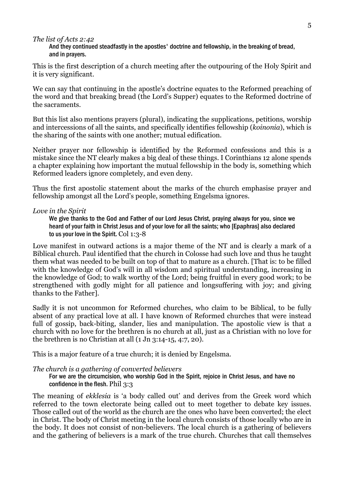#### The list of Acts 2:42

And they continued steadfastly in the apostles' doctrine and fellowship, in the breaking of bread, and in prayers.

This is the first description of a church meeting after the outpouring of the Holy Spirit and it is very significant.

We can say that continuing in the apostle's doctrine equates to the Reformed preaching of the word and that breaking bread (the Lord's Supper) equates to the Reformed doctrine of the sacraments.

But this list also mentions prayers (plural), indicating the supplications, petitions, worship and intercessions of all the saints, and specifically identifies fellowship (koinonia), which is the sharing of the saints with one another; mutual edification.

Neither prayer nor fellowship is identified by the Reformed confessions and this is a mistake since the NT clearly makes a big deal of these things. I Corinthians 12 alone spends a chapter explaining how important the mutual fellowship in the body is, something which Reformed leaders ignore completely, and even deny.

Thus the first apostolic statement about the marks of the church emphasise prayer and fellowship amongst all the Lord's people, something Engelsma ignores.

#### Love in the Spirit

We give thanks to the God and Father of our Lord Jesus Christ, praying always for you, since we heard of your faith in Christ Jesus and of your love for all the saints; who [Epaphras] also declared to us your love in the Spirit. Col 1:3-8

Love manifest in outward actions is a major theme of the NT and is clearly a mark of a Biblical church. Paul identified that the church in Colosse had such love and thus he taught them what was needed to be built on top of that to mature as a church. [That is: to be filled with the knowledge of God's will in all wisdom and spiritual understanding, increasing in the knowledge of God; to walk worthy of the Lord; being fruitful in every good work; to be strengthened with godly might for all patience and longsuffering with joy; and giving thanks to the Father].

Sadly it is not uncommon for Reformed churches, who claim to be Biblical, to be fully absent of any practical love at all. I have known of Reformed churches that were instead full of gossip, back-biting, slander, lies and manipulation. The apostolic view is that a church with no love for the brethren is no church at all, just as a Christian with no love for the brethren is no Christian at all (1 Jn 3:14-15, 4:7, 20).

This is a major feature of a true church; it is denied by Engelsma.

The church is a gathering of converted believers

For we are the circumcision, who worship God in the Spirit, rejoice in Christ Jesus, and have no confidence in the flesh. Phil 3:3

The meaning of ekklesia is 'a body called out' and derives from the Greek word which referred to the town electorate being called out to meet together to debate key issues. Those called out of the world as the church are the ones who have been converted; the elect in Christ. The body of Christ meeting in the local church consists of those locally who are in the body. It does not consist of non-believers. The local church is a gathering of believers and the gathering of believers is a mark of the true church. Churches that call themselves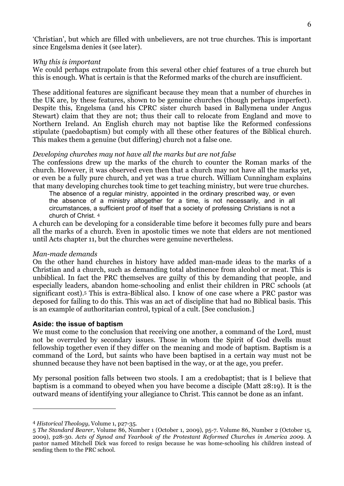'Christian', but which are filled with unbelievers, are not true churches. This is important since Engelsma denies it (see later).

#### Why this is important

We could perhaps extrapolate from this several other chief features of a true church but this is enough. What is certain is that the Reformed marks of the church are insufficient.

These additional features are significant because they mean that a number of churches in the UK are, by these features, shown to be genuine churches (though perhaps imperfect). Despite this, Engelsma (and his CPRC sister church based in Ballymena under Angus Stewart) claim that they are not; thus their call to relocate from England and move to Northern Ireland. An English church may not baptise like the Reformed confessions stipulate (paedobaptism) but comply with all these other features of the Biblical church. This makes them a genuine (but differing) church not a false one.

### Developing churches may not have all the marks but are not false

The confessions drew up the marks of the church to counter the Roman marks of the church. However, it was observed even then that a church may not have all the marks yet, or even be a fully pure church, and yet was a true church. William Cunningham explains that many developing churches took time to get teaching ministry, but were true churches.

The absence of a regular ministry, appointed in the ordinary prescribed way, or even the absence of a ministry altogether for a time, is not necessarily, and in all circumstances, a sufficient proof of itself that a society of professing Christians is not a church of Christ. <sup>4</sup>

A church can be developing for a considerable time before it becomes fully pure and bears all the marks of a church. Even in apostolic times we note that elders are not mentioned until Acts chapter 11, but the churches were genuine nevertheless.

#### Man-made demands

On the other hand churches in history have added man-made ideas to the marks of a Christian and a church, such as demanding total abstinence from alcohol or meat. This is unbiblical. In fact the PRC themselves are guilty of this by demanding that people, and especially leaders, abandon home-schooling and enlist their children in PRC schools (at significant cost).5 This is extra-Biblical also. I know of one case where a PRC pastor was deposed for failing to do this. This was an act of discipline that had no Biblical basis. This is an example of authoritarian control, typical of a cult. [See conclusion.]

#### Aside: the issue of baptism

We must come to the conclusion that receiving one another, a command of the Lord, must not be overruled by secondary issues. Those in whom the Spirit of God dwells must fellowship together even if they differ on the meaning and mode of baptism. Baptism is a command of the Lord, but saints who have been baptised in a certain way must not be shunned because they have not been baptised in the way, or at the age, you prefer.

My personal position falls between two stools. I am a credobaptist; that is I believe that baptism is a command to obeyed when you have become a disciple (Matt 28:19). It is the outward means of identifying your allegiance to Christ. This cannot be done as an infant.

<sup>4</sup> Historical Theology, Volume 1, p27-35.

<sup>5</sup> The Standard Bearer, Volume 86, Number 1 (October 1, 2009), p5-7. Volume 86, Number 2 (October 15, 2009), p28-30. Acts of Synod and Yearbook of the Protestant Reformed Churches in America 2009. A pastor named Mitchell Dick was forced to resign because he was home-schooling his children instead of sending them to the PRC school.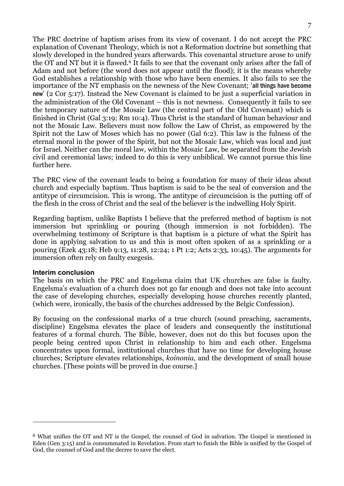The PRC doctrine of baptism arises from its view of covenant. I do not accept the PRC explanation of Covenant Theology, which is not a Reformation doctrine but something that slowly developed in the hundred years afterwards. This covenantal structure arose to unify the OT and NT but it is flawed.6 It fails to see that the covenant only arises after the fall of Adam and not before (the word does not appear until the flood); it is the means whereby God establishes a relationship with those who have been enemies. It also fails to see the importance of the NT emphasis on the newness of the New Covenant; 'all things have become new' (2 Cor 5:17). Instead the New Covenant is claimed to be just a superficial variation in the administration of the Old Covenant – this is not newness. Consequently it fails to see the temporary nature of the Mosaic Law (the central part of the Old Covenant) which is finished in Christ (Gal 3:19; Rm 10:4). Thus Christ is the standard of human behaviour and not the Mosaic Law. Believers must now follow the Law of Christ, as empowered by the Spirit not the Law of Moses which has no power (Gal 6:2). This law is the fulness of the eternal moral in the power of the Spirit, but not the Mosaic Law, which was local and just for Israel. Neither can the moral law, within the Mosaic Law, be separated from the Jewish civil and ceremonial laws; indeed to do this is very unbiblical. We cannot pursue this line further here.

The PRC view of the covenant leads to being a foundation for many of their ideas about church and especially baptism. Thus baptism is said to be the seal of conversion and the antitype of circumcision. This is wrong. The antitype of circumcision is the putting off of the flesh in the cross of Christ and the seal of the believer is the indwelling Holy Spirit.

Regarding baptism, unlike Baptists I believe that the preferred method of baptism is not immersion but sprinkling or pouring (though immersion is not forbidden). The overwhelming testimony of Scripture is that baptism is a picture of what the Spirit has done in applying salvation to us and this is most often spoken of as a sprinkling or a pouring (Ezek 43:18; Heb 9:13, 11:28, 12:24; 1 Pt 1:2; Acts 2:33, 10:45). The arguments for immersion often rely on faulty exegesis.

#### Interim conclusion

 $\overline{a}$ 

The basis on which the PRC and Engelsma claim that UK churches are false is faulty. Engelsma's evaluation of a church does not go far enough and does not take into account the case of developing churches, especially developing house churches recently planted, (which were, ironically, the basis of the churches addressed by the Belgic Confession).

By focusing on the confessional marks of a true church (sound preaching, sacraments, discipline) Engelsma elevates the place of leaders and consequently the institutional features of a formal church. The Bible, however, does not do this but focuses upon the people being centred upon Christ in relationship to him and each other. Engelsma concentrates upon formal, institutional churches that have no time for developing house churches; Scripture elevates relationships, koinonia, and the development of small house churches. [These points will be proved in due course.]

<sup>6</sup> What unifies the OT and NT is the Gospel, the counsel of God in salvation. The Gospel is mentioned in Eden (Gen 3:15) and is consummated in Revelation. From start to finish the Bible is unified by the Gospel of God, the counsel of God and the decree to save the elect.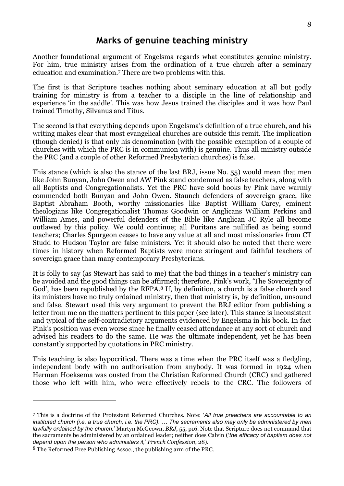# Marks of genuine teaching ministry

Another foundational argument of Engelsma regards what constitutes genuine ministry. For him, true ministry arises from the ordination of a true church after a seminary education and examination.7 There are two problems with this.

The first is that Scripture teaches nothing about seminary education at all but godly training for ministry is from a teacher to a disciple in the line of relationship and experience 'in the saddle'. This was how Jesus trained the disciples and it was how Paul trained Timothy, Silvanus and Titus.

The second is that everything depends upon Engelsma's definition of a true church, and his writing makes clear that most evangelical churches are outside this remit. The implication (though denied) is that only his denomination (with the possible exemption of a couple of churches with which the PRC is in communion with) is genuine. Thus all ministry outside the PRC (and a couple of other Reformed Presbyterian churches) is false.

This stance (which is also the stance of the last BRJ, issue No. 55) would mean that men like John Bunyan, John Owen and AW Pink stand condemned as false teachers, along with all Baptists and Congregationalists. Yet the PRC have sold books by Pink have warmly commended both Bunyan and John Owen. Staunch defenders of sovereign grace, like Baptist Abraham Booth, worthy missionaries like Baptist William Carey, eminent theologians like Congregationalist Thomas Goodwin or Anglicans William Perkins and William Ames, and powerful defenders of the Bible like Anglican JC Ryle all become outlawed by this policy. We could continue; all Puritans are nullified as being sound teachers; Charles Spurgeon ceases to have any value at all and most missionaries from CT Studd to Hudson Taylor are false ministers. Yet it should also be noted that there were times in history when Reformed Baptists were more stringent and faithful teachers of sovereign grace than many contemporary Presbyterians.

It is folly to say (as Stewart has said to me) that the bad things in a teacher's ministry can be avoided and the good things can be affirmed; therefore, Pink's work, 'The Sovereignty of God', has been republished by the RFPA.<sup>8</sup> If, by definition, a church is a false church and its ministers have no truly ordained ministry, then that ministry is, by definition, unsound and false. Stewart used this very argument to prevent the BRJ editor from publishing a letter from me on the matters pertinent to this paper (see later). This stance is inconsistent and typical of the self-contradictory arguments evidenced by Engelsma in his book. In fact Pink's position was even worse since he finally ceased attendance at any sort of church and advised his readers to do the same. He was the ultimate independent, yet he has been constantly supported by quotations in PRC ministry.

This teaching is also hypocritical. There was a time when the PRC itself was a fledgling, independent body with no authorisation from anybody. It was formed in 1924 when Herman Hoeksema was ousted from the Christian Reformed Church (CRC) and gathered those who left with him, who were effectively rebels to the CRC. The followers of

<sup>7</sup> This is a doctrine of the Protestant Reformed Churches. Note: 'All true preachers are accountable to an instituted church (i.e. a true church, i.e. the PRC). … The sacraments also may only be administered by men lawfully ordained by the church.' Martyn McGeown, BRJ, 55, p16. Note that Scripture does not command that the sacraments be administered by an ordained leader; neither does Calvin ('the efficacy of baptism does not depend upon the person who administers it,' French Confession, 28).

<sup>8</sup> The Reformed Free Publishing Assoc., the publishing arm of the PRC.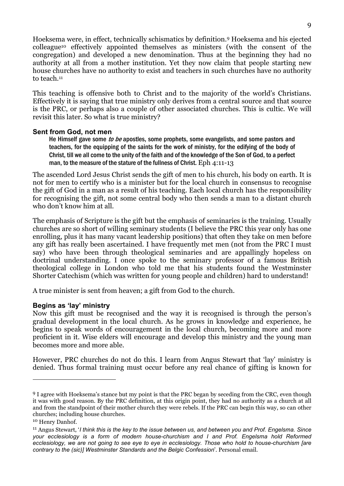Hoeksema were, in effect, technically schismatics by definition.9 Hoeksema and his ejected colleague10 effectively appointed themselves as ministers (with the consent of the congregation) and developed a new denomination. Thus at the beginning they had no authority at all from a mother institution. Yet they now claim that people starting new house churches have no authority to exist and teachers in such churches have no authority to teach.<sup>11</sup>

This teaching is offensive both to Christ and to the majority of the world's Christians. Effectively it is saying that true ministry only derives from a central source and that source is the PRC, or perhaps also a couple of other associated churches. This is cultic. We will revisit this later. So what is true ministry?

#### Sent from God, not men

He Himself gave some *to be* apostles, some prophets, some evangelists, and some pastors and teachers, for the equipping of the saints for the work of ministry, for the edifying of the body of Christ, till we all come to the unity of the faith and of the knowledge of the Son of God, to a perfect man, to the measure of the stature of the fullness of Christ. Eph 4:11-13

The ascended Lord Jesus Christ sends the gift of men to his church, his body on earth. It is not for men to certify who is a minister but for the local church in consensus to recognise the gift of God in a man as a result of his teaching. Each local church has the responsibility for recognising the gift, not some central body who then sends a man to a distant church who don't know him at all.

The emphasis of Scripture is the gift but the emphasis of seminaries is the training. Usually churches are so short of willing seminary students (I believe the PRC this year only has one enrolling, plus it has many vacant leadership positions) that often they take on men before any gift has really been ascertained. I have frequently met men (not from the PRC I must say) who have been through theological seminaries and are appallingly hopeless on doctrinal understanding. I once spoke to the seminary professor of a famous British theological college in London who told me that his students found the Westminster Shorter Catechism (which was written for young people and children) hard to understand!

A true minister is sent from heaven; a gift from God to the church.

#### Begins as 'lay' ministry

Now this gift must be recognised and the way it is recognised is through the person's gradual development in the local church. As he grows in knowledge and experience, he begins to speak words of encouragement in the local church, becoming more and more proficient in it. Wise elders will encourage and develop this ministry and the young man becomes more and more able.

However, PRC churches do not do this. I learn from Angus Stewart that 'lay' ministry is denied. Thus formal training must occur before any real chance of gifting is known for

<sup>9</sup> I agree with Hoeksema's stance but my point is that the PRC began by seceding from the CRC, even though it was with good reason. By the PRC definition, at this origin point, they had no authority as a church at all and from the standpoint of their mother church they were rebels. If the PRC can begin this way, so can other churches; including house churches.

<sup>10</sup> Henry Danhof.

<sup>11</sup> Angus Stewart, 'I think this is the key to the issue between us, and between you and Prof. Engelsma. Since your ecclesiology is a form of modern house-churchism and I and Prof. Engelsma hold Reformed ecclesiology, we are not going to see eye to eye in ecclesiology. Those who hold to house-churchism [are contrary to the (sic)] Westminster Standards and the Belgic Confession'. Personal email.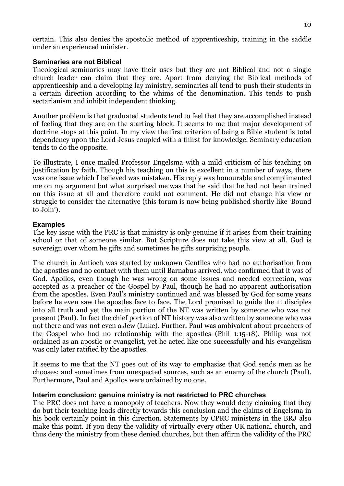certain. This also denies the apostolic method of apprenticeship, training in the saddle under an experienced minister.

### Seminaries are not Biblical

Theological seminaries may have their uses but they are not Biblical and not a single church leader can claim that they are. Apart from denying the Biblical methods of apprenticeship and a developing lay ministry, seminaries all tend to push their students in a certain direction according to the whims of the denomination. This tends to push sectarianism and inhibit independent thinking.

Another problem is that graduated students tend to feel that they are accomplished instead of feeling that they are on the starting block. It seems to me that major development of doctrine stops at this point. In my view the first criterion of being a Bible student is total dependency upon the Lord Jesus coupled with a thirst for knowledge. Seminary education tends to do the opposite.

To illustrate, I once mailed Professor Engelsma with a mild criticism of his teaching on justification by faith. Though his teaching on this is excellent in a number of ways, there was one issue which I believed was mistaken. His reply was honourable and complimented me on my argument but what surprised me was that he said that he had not been trained on this issue at all and therefore could not comment. He did not change his view or struggle to consider the alternative (this forum is now being published shortly like 'Bound to Join').

# Examples

The key issue with the PRC is that ministry is only genuine if it arises from their training school or that of someone similar. But Scripture does not take this view at all. God is sovereign over whom he gifts and sometimes he gifts surprising people.

The church in Antioch was started by unknown Gentiles who had no authorisation from the apostles and no contact with them until Barnabus arrived, who confirmed that it was of God. Apollos, even though he was wrong on some issues and needed correction, was accepted as a preacher of the Gospel by Paul, though he had no apparent authorisation from the apostles. Even Paul's ministry continued and was blessed by God for some years before he even saw the apostles face to face. The Lord promised to guide the 11 disciples into all truth and yet the main portion of the NT was written by someone who was not present (Paul). In fact the chief portion of NT history was also written by someone who was not there and was not even a Jew (Luke). Further, Paul was ambivalent about preachers of the Gospel who had no relationship with the apostles (Phil 1:15-18). Philip was not ordained as an apostle or evangelist, yet he acted like one successfully and his evangelism was only later ratified by the apostles.

It seems to me that the NT goes out of its way to emphasise that God sends men as he chooses; and sometimes from unexpected sources, such as an enemy of the church (Paul). Furthermore, Paul and Apollos were ordained by no one.

# Interim conclusion: genuine ministry is not restricted to PRC churches

The PRC does not have a monopoly of teachers. Now they would deny claiming that they do but their teaching leads directly towards this conclusion and the claims of Engelsma in his book certainly point in this direction. Statements by CPRC ministers in the BRJ also make this point. If you deny the validity of virtually every other UK national church, and thus deny the ministry from these denied churches, but then affirm the validity of the PRC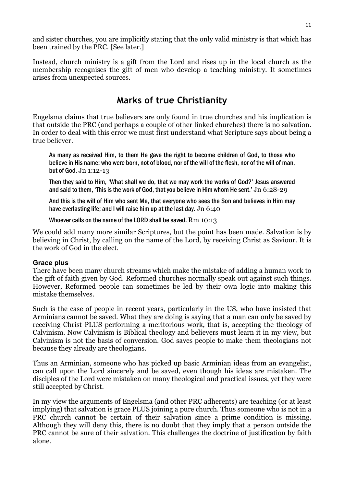and sister churches, you are implicitly stating that the only valid ministry is that which has been trained by the PRC. [See later.]

Instead, church ministry is a gift from the Lord and rises up in the local church as the membership recognises the gift of men who develop a teaching ministry. It sometimes arises from unexpected sources.

# Marks of true Christianity

Engelsma claims that true believers are only found in true churches and his implication is that outside the PRC (and perhaps a couple of other linked churches) there is no salvation. In order to deal with this error we must first understand what Scripture says about being a true believer.

As many as received Him, to them He gave the right to become children of God, to those who believe in His name: who were born, not of blood, nor of the will of the flesh, nor of the will of man, but of God. Jn 1:12-13

Then they said to Him, 'What shall we do, that we may work the works of God?' Jesus answered and said to them, 'This is the work of God, that you believe in Him whom He sent.' Jn  $6:28$ -29

And this is the will of Him who sent Me, that everyone who sees the Son and believes in Him may have everlasting life; and I will raise him up at the last day. Jn 6:40

Whoever calls on the name of the LORD shall be saved. Rm 10:13

We could add many more similar Scriptures, but the point has been made. Salvation is by believing in Christ, by calling on the name of the Lord, by receiving Christ as Saviour. It is the work of God in the elect.

### Grace plus

There have been many church streams which make the mistake of adding a human work to the gift of faith given by God. Reformed churches normally speak out against such things. However, Reformed people can sometimes be led by their own logic into making this mistake themselves.

Such is the case of people in recent years, particularly in the US, who have insisted that Arminians cannot be saved. What they are doing is saying that a man can only be saved by receiving Christ PLUS performing a meritorious work, that is, accepting the theology of Calvinism. Now Calvinism is Biblical theology and believers must learn it in my view, but Calvinism is not the basis of conversion. God saves people to make them theologians not because they already are theologians.

Thus an Arminian, someone who has picked up basic Arminian ideas from an evangelist, can call upon the Lord sincerely and be saved, even though his ideas are mistaken. The disciples of the Lord were mistaken on many theological and practical issues, yet they were still accepted by Christ.

In my view the arguments of Engelsma (and other PRC adherents) are teaching (or at least implying) that salvation is grace PLUS joining a pure church. Thus someone who is not in a PRC church cannot be certain of their salvation since a prime condition is missing. Although they will deny this, there is no doubt that they imply that a person outside the PRC cannot be sure of their salvation. This challenges the doctrine of justification by faith alone.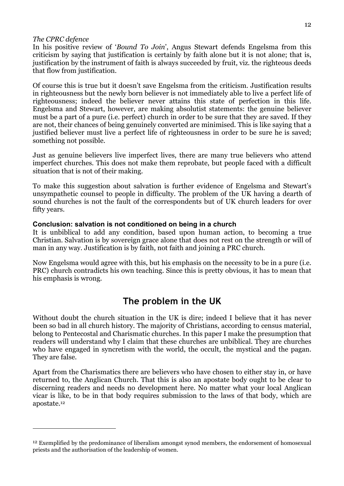#### The CPRC defence

 $\overline{a}$ 

In his positive review of 'Bound To Join', Angus Stewart defends Engelsma from this criticism by saying that justification is certainly by faith alone but it is not alone; that is, justification by the instrument of faith is always succeeded by fruit, viz. the righteous deeds that flow from justification.

Of course this is true but it doesn't save Engelsma from the criticism. Justification results in righteousness but the newly born believer is not immediately able to live a perfect life of righteousness; indeed the believer never attains this state of perfection in this life. Engelsma and Stewart, however, are making absolutist statements: the genuine believer must be a part of a pure (i.e. perfect) church in order to be sure that they are saved. If they are not, their chances of being genuinely converted are minimised. This is like saying that a justified believer must live a perfect life of righteousness in order to be sure he is saved; something not possible.

Just as genuine believers live imperfect lives, there are many true believers who attend imperfect churches. This does not make them reprobate, but people faced with a difficult situation that is not of their making.

To make this suggestion about salvation is further evidence of Engelsma and Stewart's unsympathetic counsel to people in difficulty. The problem of the UK having a dearth of sound churches is not the fault of the correspondents but of UK church leaders for over fifty years.

#### Conclusion: salvation is not conditioned on being in a church

It is unbiblical to add any condition, based upon human action, to becoming a true Christian. Salvation is by sovereign grace alone that does not rest on the strength or will of man in any way. Justification is by faith, not faith and joining a PRC church.

Now Engelsma would agree with this, but his emphasis on the necessity to be in a pure (i.e. PRC) church contradicts his own teaching. Since this is pretty obvious, it has to mean that his emphasis is wrong.

# The problem in the UK

Without doubt the church situation in the UK is dire; indeed I believe that it has never been so bad in all church history. The majority of Christians, according to census material, belong to Pentecostal and Charismatic churches. In this paper I make the presumption that readers will understand why I claim that these churches are unbiblical. They are churches who have engaged in syncretism with the world, the occult, the mystical and the pagan. They are false.

Apart from the Charismatics there are believers who have chosen to either stay in, or have returned to, the Anglican Church. That this is also an apostate body ought to be clear to discerning readers and needs no development here. No matter what your local Anglican vicar is like, to be in that body requires submission to the laws of that body, which are apostate.<sup>12</sup>

<sup>&</sup>lt;sup>12</sup> Exemplified by the predominance of liberalism amongst synod members, the endorsement of homosexual priests and the authorisation of the leadership of women.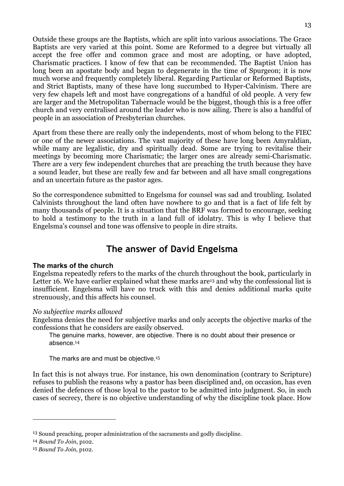Outside these groups are the Baptists, which are split into various associations. The Grace Baptists are very varied at this point. Some are Reformed to a degree but virtually all accept the free offer and common grace and most are adopting, or have adopted, Charismatic practices. I know of few that can be recommended. The Baptist Union has long been an apostate body and began to degenerate in the time of Spurgeon; it is now much worse and frequently completely liberal. Regarding Particular or Reformed Baptists, and Strict Baptists, many of these have long succumbed to Hyper-Calvinism. There are very few chapels left and most have congregations of a handful of old people. A very few are larger and the Metropolitan Tabernacle would be the biggest, though this is a free offer church and very centralised around the leader who is now ailing. There is also a handful of people in an association of Presbyterian churches.

Apart from these there are really only the independents, most of whom belong to the FIEC or one of the newer associations. The vast majority of these have long been Amyraldian, while many are legalistic, dry and spiritually dead. Some are trying to revitalise their meetings by becoming more Charismatic; the larger ones are already semi-Charismatic. There are a very few independent churches that are preaching the truth because they have a sound leader, but these are really few and far between and all have small congregations and an uncertain future as the pastor ages.

So the correspondence submitted to Engelsma for counsel was sad and troubling. Isolated Calvinists throughout the land often have nowhere to go and that is a fact of life felt by many thousands of people. It is a situation that the BRF was formed to encourage, seeking to hold a testimony to the truth in a land full of idolatry. This is why I believe that Engelsma's counsel and tone was offensive to people in dire straits.

# The answer of David Engelsma

### The marks of the church

Engelsma repeatedly refers to the marks of the church throughout the book, particularly in Letter 16. We have earlier explained what these marks are<sup>13</sup> and why the confessional list is insufficient. Engelsma will have no truck with this and denies additional marks quite strenuously, and this affects his counsel.

#### No subjective marks allowed

Engelsma denies the need for subjective marks and only accepts the objective marks of the confessions that he considers are easily observed.

The genuine marks, however, are objective. There is no doubt about their presence or absence.<sup>14</sup>

The marks are and must be objective.<sup>15</sup>

In fact this is not always true. For instance, his own denomination (contrary to Scripture) refuses to publish the reasons why a pastor has been disciplined and, on occasion, has even denied the defences of those loyal to the pastor to be admitted into judgment. So, in such cases of secrecy, there is no objective understanding of why the discipline took place. How

<sup>13</sup> Sound preaching, proper administration of the sacraments and godly discipline.

<sup>14</sup> Bound To Join, p102.

<sup>15</sup> Bound To Join, p102.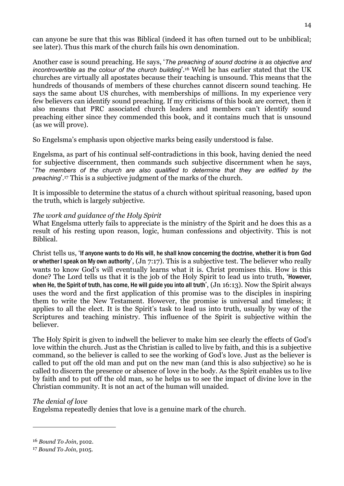can anyone be sure that this was Biblical (indeed it has often turned out to be unbiblical; see later). Thus this mark of the church fails his own denomination.

Another case is sound preaching. He says, 'The preaching of sound doctrine is as objective and incontrovertible as the colour of the church building'.16 Well he has earlier stated that the UK churches are virtually all apostates because their teaching is unsound. This means that the hundreds of thousands of members of these churches cannot discern sound teaching. He says the same about US churches, with memberships of millions. In my experience very few believers can identify sound preaching. If my criticisms of this book are correct, then it also means that PRC associated church leaders and members can't identify sound preaching either since they commended this book, and it contains much that is unsound (as we will prove).

So Engelsma's emphasis upon objective marks being easily understood is false.

Engelsma, as part of his continual self-contradictions in this book, having denied the need for subjective discernment, then commands such subjective discernment when he says, 'The members of the church are also qualified to determine that they are edified by the preaching'.17 This is a subjective judgment of the marks of the church.

It is impossible to determine the status of a church without spiritual reasoning, based upon the truth, which is largely subjective.

# The work and guidance of the Holy Spirit

What Engelsma utterly fails to appreciate is the ministry of the Spirit and he does this as a result of his resting upon reason, logic, human confessions and objectivity. This is not Biblical.

Christ tells us, 'If anyone wants to do His will, he shall know concerning the doctrine, whether it is from God or whether I speak on My own authority', (Jn 7:17). This is a subjective test. The believer who really wants to know God's will eventually learns what it is. Christ promises this. How is this done? The Lord tells us that it is the job of the Holy Spirit to lead us into truth, 'However, when He, the Spirit of truth, has come, He will guide you into all truth', (Jn 16:13). Now the Spirit always uses the word and the first application of this promise was to the disciples in inspiring them to write the New Testament. However, the promise is universal and timeless; it applies to all the elect. It is the Spirit's task to lead us into truth, usually by way of the Scriptures and teaching ministry. This influence of the Spirit is subjective within the believer.

The Holy Spirit is given to indwell the believer to make him see clearly the effects of God's love within the church. Just as the Christian is called to live by faith, and this is a subjective command, so the believer is called to see the working of God's love. Just as the believer is called to put off the old man and put on the new man (and this is also subjective) so he is called to discern the presence or absence of love in the body. As the Spirit enables us to live by faith and to put off the old man, so he helps us to see the impact of divine love in the Christian community. It is not an act of the human will unaided.

# The denial of love

 $\overline{a}$ 

Engelsma repeatedly denies that love is a genuine mark of the church.

<sup>16</sup> Bound To Join, p102.

<sup>17</sup> Bound To Join, p105.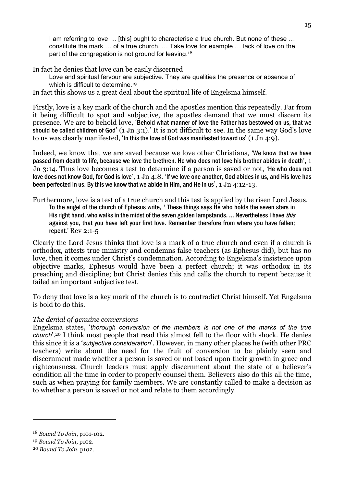I am referring to love … [this] ought to characterise a true church. But none of these … constitute the mark … of a true church. … Take love for example … lack of love on the part of the congregation is not ground for leaving.<sup>18</sup>

In fact he denies that love can be easily discerned

Love and spiritual fervour are subjective. They are qualities the presence or absence of which is difficult to determine.<sup>19</sup>

In fact this shows us a great deal about the spiritual life of Engelsma himself.

Firstly, love is a key mark of the church and the apostles mention this repeatedly. Far from it being difficult to spot and subjective, the apostles demand that we must discern its presence. We are to behold love, 'Behold what manner of love the Father has bestowed on us, that we should be called children of God' (1 Jn 3:1).' It is not difficult to see. In the same way God's love to us was clearly manifested, 'In this the love of God was manifested toward us' (1 Jn 4:9).

Indeed, we know that we are saved because we love other Christians, 'We know that we have passed from death to life, because we love the brethren. He who does not love his brother abides in death', 1 Jn 3:14. Thus love becomes a test to determine if a person is saved or not, 'He who does not love does not know God, for God is love', 1 Jn 4:8. 'If we love one another, God abides in us, and His love has been perfected in us. By this we know that we abide in Him, and He in us', 1 Jn 4:12-13.

Furthermore, love is a test of a true church and this test is applied by the risen Lord Jesus. To the angel of the church of Ephesus write, ' These things says He who holds the seven stars in His right hand, who walks in the midst of the seven golden lampstands. ... Nevertheless I have *this* against you, that you have left your first love. Remember therefore from where you have fallen; repent.' Rev 2:1-5

Clearly the Lord Jesus thinks that love is a mark of a true church and even if a church is orthodox, attests true ministry and condemns false teachers (as Ephesus did), but has no love, then it comes under Christ's condemnation. According to Engelsma's insistence upon objective marks, Ephesus would have been a perfect church; it was orthodox in its preaching and discipline; but Christ denies this and calls the church to repent because it failed an important subjective test.

To deny that love is a key mark of the church is to contradict Christ himself. Yet Engelsma is bold to do this.

#### The denial of genuine conversions

Engelsma states, 'thorough conversion of the members is not one of the marks of the true church'.20 I think most people that read this almost fell to the floor with shock. He denies this since it is a 'subjective consideration'. However, in many other places he (with other PRC teachers) write about the need for the fruit of conversion to be plainly seen and discernment made whether a person is saved or not based upon their growth in grace and righteousness. Church leaders must apply discernment about the state of a believer's condition all the time in order to properly counsel them. Believers also do this all the time, such as when praying for family members. We are constantly called to make a decision as to whether a person is saved or not and relate to them accordingly.

19 Bound To Join, p102.

<sup>18</sup> Bound To Join, p101-102.

<sup>20</sup> Bound To Join, p102.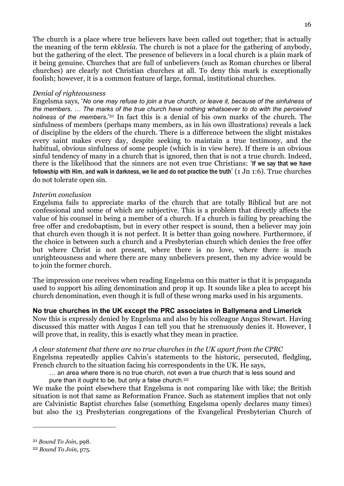The church is a place where true believers have been called out together; that is actually the meaning of the term ekklesia. The church is not a place for the gathering of anybody, but the gathering of the elect. The presence of believers in a local church is a plain mark of it being genuine. Churches that are full of unbelievers (such as Roman churches or liberal churches) are clearly not Christian churches at all. To deny this mark is exceptionally foolish; however, it is a common feature of large, formal, institutional churches.

#### Denial of righteousness

Engelsma says, 'No one may refuse to join a true church, or leave it, because of the sinfulness of the members. … The marks of the true church have nothing whatsoever to do with the perceived holiness of the members.<sup>'21</sup> In fact this is a denial of his own marks of the church. The sinfulness of members (perhaps many members, as in his own illustrations) reveals a lack of discipline by the elders of the church. There is a difference between the slight mistakes every saint makes every day, despite seeking to maintain a true testimony, and the habitual, obvious sinfulness of some people (which is in view here). If there is an obvious sinful tendency of many in a church that is ignored, then that is not a true church. Indeed, there is the likelihood that the sinners are not even true Christians: 'If we say that we have fellowship with Him, and walk in darkness, we lie and do not practice the truth'  $(1 \text{ Jn } 1:6)$ . True churches do not tolerate open sin.

#### Interim conclusion

Engelsma fails to appreciate marks of the church that are totally Biblical but are not confessional and some of which are subjective. This is a problem that directly affects the value of his counsel in being a member of a church. If a church is failing by preaching the free offer and credobaptism, but in every other respect is sound, then a believer may join that church even though it is not perfect. It is better than going nowhere. Furthermore, if the choice is between such a church and a Presbyterian church which denies the free offer but where Christ is not present, where there is no love, where there is much unrighteousness and where there are many unbelievers present, then my advice would be to join the former church.

The impression one receives when reading Engelsma on this matter is that it is propaganda used to support his ailing denomination and prop it up. It sounds like a plea to accept his church denomination, even though it is full of these wrong marks used in his arguments.

### No true churches in the UK except the PRC associates in Ballymena and Limerick

Now this is expressly denied by Engelsma and also by his colleague Angus Stewart. Having discussed this matter with Angus I can tell you that he strenuously denies it. However, I will prove that, in reality, this is exactly what they mean in practice.

#### A clear statement that there are no true churches in the UK apart from the CPRC

Engelsma repeatedly applies Calvin's statements to the historic, persecuted, fledgling, French church to the situation facing his correspondents in the UK. He says,

… an area where there is no true church, not even a true church that is less sound and

pure than it ought to be, but only a false church.<sup>22</sup>

We make the point elsewhere that Engelsma is not comparing like with like; the British situation is not that same as Reformation France. Such as statement implies that not only are Calvinistic Baptist churches false (something Engelsma openly declares many times) but also the 13 Presbyterian congregations of the Evangelical Presbyterian Church of

<sup>21</sup> Bound To Join, p98.

<sup>22</sup> Bound To Join, p75.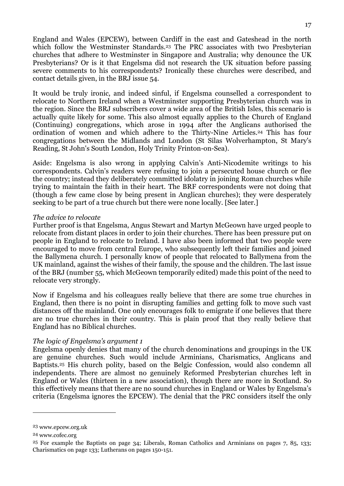England and Wales (EPCEW), between Cardiff in the east and Gateshead in the north which follow the Westminster Standards.<sup>23</sup> The PRC associates with two Presbyterian churches that adhere to Westminster in Singapore and Australia; why denounce the UK Presbyterians? Or is it that Engelsma did not research the UK situation before passing severe comments to his correspondents? Ironically these churches were described, and contact details given, in the BRJ issue 54.

It would be truly ironic, and indeed sinful, if Engelsma counselled a correspondent to relocate to Northern Ireland when a Westminster supporting Presbyterian church was in the region. Since the BRJ subscribers cover a wide area of the British Isles, this scenario is actually quite likely for some. This also almost equally applies to the Church of England (Continuing) congregations, which arose in 1994 after the Anglicans authorised the ordination of women and which adhere to the Thirty-Nine Articles.24 This has four congregations between the Midlands and London (St Silas Wolverhampton, St Mary's Reading, St John's South London, Holy Trinity Frinton-on-Sea).

Aside: Engelsma is also wrong in applying Calvin's Anti-Nicodemite writings to his correspondents. Calvin's readers were refusing to join a persecuted house church or flee the country; instead they deliberately committed idolatry in joining Roman churches while trying to maintain the faith in their heart. The BRF correspondents were not doing that (though a few came close by being present in Anglican churches); they were desperately seeking to be part of a true church but there were none locally. [See later.]

#### The advice to relocate

Further proof is that Engelsma, Angus Stewart and Martyn McGeown have urged people to relocate from distant places in order to join their churches. There has been pressure put on people in England to relocate to Ireland. I have also been informed that two people were encouraged to move from central Europe, who subsequently left their families and joined the Ballymena church. I personally know of people that relocated to Ballymena from the UK mainland, against the wishes of their family, the spouse and the children. The last issue of the BRJ (number 55, which McGeown temporarily edited) made this point of the need to relocate very strongly.

Now if Engelsma and his colleagues really believe that there are some true churches in England, then there is no point in disrupting families and getting folk to move such vast distances off the mainland. One only encourages folk to emigrate if one believes that there are no true churches in their country. This is plain proof that they really believe that England has no Biblical churches.

### The logic of Engelsma's argument 1

Engelsma openly denies that many of the church denominations and groupings in the UK are genuine churches. Such would include Arminians, Charismatics, Anglicans and Baptists.25 His church polity, based on the Belgic Confession, would also condemn all independents. There are almost no genuinely Reformed Presbyterian churches left in England or Wales (thirteen in a new association), though there are more in Scotland. So this effectively means that there are no sound churches in England or Wales by Engelsma's criteria (Engelsma ignores the EPCEW). The denial that the PRC considers itself the only

<sup>23</sup> www.epcew.org.uk

<sup>24</sup> www.cofec.org

<sup>25</sup> For example the Baptists on page 34; Liberals, Roman Catholics and Arminians on pages 7, 85, 133; Charismatics on page 133; Lutherans on pages 150-151.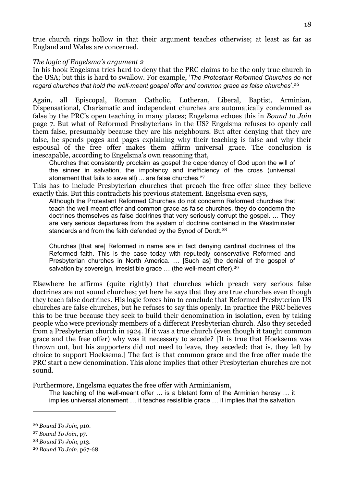true church rings hollow in that their argument teaches otherwise; at least as far as England and Wales are concerned.

#### The logic of Engelsma's argument 2

In his book Engelsma tries hard to deny that the PRC claims to be the only true church in the USA; but this is hard to swallow. For example, 'The Protestant Reformed Churches do not regard churches that hold the well-meant gospel offer and common grace as false churches'.<sup>26</sup>

Again, all Episcopal, Roman Catholic, Lutheran, Liberal, Baptist, Arminian, Dispensational, Charismatic and independent churches are automatically condemned as false by the PRC's open teaching in many places; Engelsma echoes this in Bound to Join page 7. But what of Reformed Presbyterians in the US? Engelsma refuses to openly call them false, presumably because they are his neighbours. But after denying that they are false, he spends pages and pages explaining why their teaching is false and why their espousal of the free offer makes them affirm universal grace. The conclusion is inescapable, according to Engelsma's own reasoning that,

Churches that consistently proclaim as gospel the dependency of God upon the will of the sinner in salvation, the impotency and inefficiency of the cross (universal atonement that fails to save all) ... are false churches.<sup>27</sup>

This has to include Presbyterian churches that preach the free offer since they believe exactly this. But this contradicts his previous statement. Engelsma even says,

Although the Protestant Reformed Churches do not condemn Reformed churches that teach the well-meant offer and common grace as false churches, they do condemn the doctrines themselves as false doctrines that very seriously corrupt the gospel. … They are very serious departures from the system of doctrine contained in the Westminster standards and from the faith defended by the Synod of Dordt.<sup>28</sup>

Churches [that are] Reformed in name are in fact denying cardinal doctrines of the Reformed faith. This is the case today with reputedly conservative Reformed and Presbyterian churches in North America. … [Such as] the denial of the gospel of salvation by sovereign, irresistible grace ... (the well-meant offer).<sup>29</sup>

Elsewhere he affirms (quite rightly) that churches which preach very serious false doctrines are not sound churches; yet here he says that they are true churches even though they teach false doctrines. His logic forces him to conclude that Reformed Presbyterian US churches are false churches, but he refuses to say this openly. In practice the PRC believes this to be true because they seek to build their denomination in isolation, even by taking people who were previously members of a different Presbyterian church. Also they seceded from a Presbyterian church in 1924. If it was a true church (even though it taught common grace and the free offer) why was it necessary to secede? [It is true that Hoeksema was thrown out, but his supporters did not need to leave, they seceded; that is, they left by choice to support Hoeksema.] The fact is that common grace and the free offer made the PRC start a new denomination. This alone implies that other Presbyterian churches are not sound.

Furthermore, Engelsma equates the free offer with Arminianism,

The teaching of the well-meant offer … is a blatant form of the Arminian heresy … it implies universal atonement … it teaches resistible grace … it implies that the salvation

<sup>26</sup> Bound To Join, p10.

<sup>27</sup> Bound To Join, p7.

<sup>28</sup> Bound To Join, p13.

<sup>29</sup> Bound To Join, p67-68.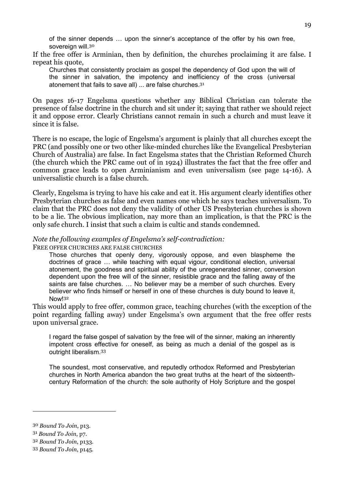of the sinner depends … upon the sinner's acceptance of the offer by his own free, sovereign will.30

If the free offer is Arminian, then by definition, the churches proclaiming it are false. I repeat his quote,

Churches that consistently proclaim as gospel the dependency of God upon the will of the sinner in salvation, the impotency and inefficiency of the cross (universal atonement that fails to save all) ... are false churches.<sup>31</sup>

On pages 16-17 Engelsma questions whether any Biblical Christian can tolerate the presence of false doctrine in the church and sit under it; saying that rather we should reject it and oppose error. Clearly Christians cannot remain in such a church and must leave it since it is false.

There is no escape, the logic of Engelsma's argument is plainly that all churches except the PRC (and possibly one or two other like-minded churches like the Evangelical Presbyterian Church of Australia) are false. In fact Engelsma states that the Christian Reformed Church (the church which the PRC came out of in 1924) illustrates the fact that the free offer and common grace leads to open Arminianism and even universalism (see page 14-16). A universalistic church is a false church.

Clearly, Engelsma is trying to have his cake and eat it. His argument clearly identifies other Presbyterian churches as false and even names one which he says teaches universalism. To claim that the PRC does not deny the validity of other US Presbyterian churches is shown to be a lie. The obvious implication, nay more than an implication, is that the PRC is the only safe church. I insist that such a claim is cultic and stands condemned.

#### Note the following examples of Engelsma's self-contradiction:

FREE OFFER CHURCHES ARE FALSE CHURCHES

Those churches that openly deny, vigorously oppose, and even blaspheme the doctrines of grace … while teaching with equal vigour, conditional election, universal atonement, the goodness and spiritual ability of the unregenerated sinner, conversion dependent upon the free will of the sinner, resistible grace and the falling away of the saints are false churches. … No believer may be a member of such churches. Every believer who finds himself or herself in one of these churches is duty bound to leave it, Now!<sup>32</sup>

This would apply to free offer, common grace, teaching churches (with the exception of the point regarding falling away) under Engelsma's own argument that the free offer rests upon universal grace.

I regard the false gospel of salvation by the free will of the sinner, making an inherently impotent cross effective for oneself, as being as much a denial of the gospel as is outright liberalism.<sup>33</sup>

The soundest, most conservative, and reputedly orthodox Reformed and Presbyterian churches in North America abandon the two great truths at the heart of the sixteenthcentury Reformation of the church: the sole authority of Holy Scripture and the gospel

<sup>30</sup> Bound To Join, p13.

<sup>31</sup> Bound To Join, p7.

<sup>32</sup> Bound To Join, p133.

<sup>33</sup> Bound To Join, p145.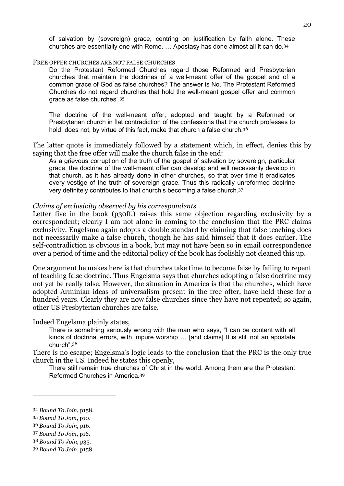of salvation by (sovereign) grace, centring on justification by faith alone. These churches are essentially one with Rome. … Apostasy has done almost all it can do.<sup>34</sup>

#### FREE OFFER CHURCHES ARE NOT FALSE CHURCHES

Do the Protestant Reformed Churches regard those Reformed and Presbyterian churches that maintain the doctrines of a well-meant offer of the gospel and of a common grace of God as false churches? The answer is No. The Protestant Reformed Churches do not regard churches that hold the well-meant gospel offer and common grace as false churches'.<sup>35</sup>

The doctrine of the well-meant offer, adopted and taught by a Reformed or Presbyterian church in flat contradiction of the confessions that the church professes to hold, does not, by virtue of this fact, make that church a false church.<sup>36</sup>

The latter quote is immediately followed by a statement which, in effect, denies this by saying that the free offer will make the church false in the end:

As a grievous corruption of the truth of the gospel of salvation by sovereign, particular grace, the doctrine of the well-meant offer can develop and will necessarily develop in that church, as it has already done in other churches, so that over time it eradicates every vestige of the truth of sovereign grace. Thus this radically unreformed doctrine very definitely contributes to that church's becoming a false church.<sup>37</sup>

#### Claims of exclusivity observed by his correspondents

Letter five in the book (p30ff.) raises this same objection regarding exclusivity by a correspondent; clearly I am not alone in coming to the conclusion that the PRC claims exclusivity. Engelsma again adopts a double standard by claiming that false teaching does not necessarily make a false church, though he has said himself that it does earlier. The self-contradiction is obvious in a book, but may not have been so in email correspondence over a period of time and the editorial policy of the book has foolishly not cleaned this up.

One argument he makes here is that churches take time to become false by failing to repent of teaching false doctrine. Thus Engelsma says that churches adopting a false doctrine may not yet be really false. However, the situation in America is that the churches, which have adopted Arminian ideas of universalism present in the free offer, have held these for a hundred years. Clearly they are now false churches since they have not repented; so again, other US Presbyterian churches are false.

#### Indeed Engelsma plainly states,

There is something seriously wrong with the man who says, "I can be content with all kinds of doctrinal errors, with impure worship … [and claims] It is still not an apostate church".<sup>38</sup>

There is no escape; Engelsma's logic leads to the conclusion that the PRC is the only true church in the US. Indeed he states this openly,

There still remain true churches of Christ in the world. Among them are the Protestant Reformed Churches in America.<sup>39</sup>

<sup>34</sup> Bound To Join, p158.

<sup>35</sup> Bound To Join, p10.

<sup>36</sup> Bound To Join, p16.

<sup>37</sup> Bound To Join, p16.

<sup>38</sup> Bound To Join, p35.

<sup>39</sup> Bound To Join, p158.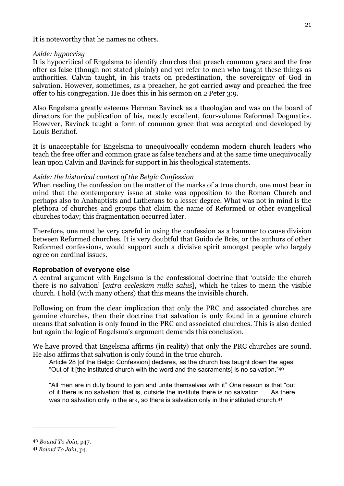It is noteworthy that he names no others.

#### Aside: hypocrisy

It is hypocritical of Engelsma to identify churches that preach common grace and the free offer as false (though not stated plainly) and yet refer to men who taught these things as authorities. Calvin taught, in his tracts on predestination, the sovereignty of God in salvation. However, sometimes, as a preacher, he got carried away and preached the free offer to his congregation. He does this in his sermon on 2 Peter 3:9.

Also Engelsma greatly esteems Herman Bavinck as a theologian and was on the board of directors for the publication of his, mostly excellent, four-volume Reformed Dogmatics. However, Bavinck taught a form of common grace that was accepted and developed by Louis Berkhof.

It is unacceptable for Engelsma to unequivocally condemn modern church leaders who teach the free offer and common grace as false teachers and at the same time unequivocally lean upon Calvin and Bavinck for support in his theological statements.

#### Aside: the historical context of the Belgic Confession

When reading the confession on the matter of the marks of a true church, one must bear in mind that the contemporary issue at stake was opposition to the Roman Church and perhaps also to Anabaptists and Lutherans to a lesser degree. What was not in mind is the plethora of churches and groups that claim the name of Reformed or other evangelical churches today; this fragmentation occurred later.

Therefore, one must be very careful in using the confession as a hammer to cause division between Reformed churches. It is very doubtful that Guido de Brès, or the authors of other Reformed confessions, would support such a divisive spirit amongst people who largely agree on cardinal issues.

#### Reprobation of everyone else

A central argument with Engelsma is the confessional doctrine that 'outside the church there is no salvation' [extra ecclesiam nulla salus], which he takes to mean the visible church. I hold (with many others) that this means the invisible church.

Following on from the clear implication that only the PRC and associated churches are genuine churches, then their doctrine that salvation is only found in a genuine church means that salvation is only found in the PRC and associated churches. This is also denied but again the logic of Engelsma's argument demands this conclusion.

We have proved that Engelsma affirms (in reality) that only the PRC churches are sound. He also affirms that salvation is only found in the true church.

Article 28 [of the Belgic Confession] declares, as the church has taught down the ages, "Out of it ithe instituted church with the word and the sacraments is no salvation." $40$ 

"All men are in duty bound to join and unite themselves with it" One reason is that "out of it there is no salvation: that is, outside the institute there is no salvation. … As there was no salvation only in the ark, so there is salvation only in the instituted church.<sup>41</sup>

<sup>40</sup> Bound To Join, p47.

<sup>41</sup> Bound To Join, p4.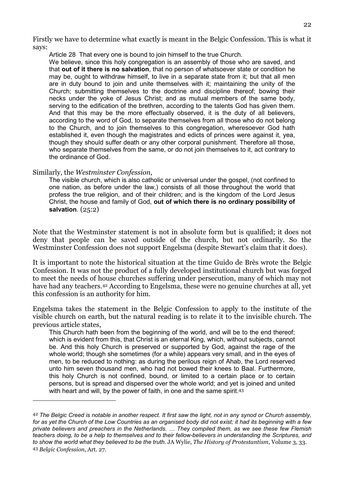Firstly we have to determine what exactly is meant in the Belgic Confession. This is what it says:

Article 28 That every one is bound to join himself to the true Church. We believe, since this holy congregation is an assembly of those who are saved, and that out of it there is no salvation, that no person of whatsoever state or condition he may be, ought to withdraw himself, to live in a separate state from it; but that all men are in duty bound to join and unite themselves with it; maintaining the unity of the Church; submitting themselves to the doctrine and discipline thereof; bowing their necks under the yoke of Jesus Christ; and as mutual members of the same body, serving to the edification of the brethren, according to the talents God has given them. And that this may be the more effectually observed, it is the duty of all believers, according to the word of God, to separate themselves from all those who do not belong to the Church, and to join themselves to this congregation, wheresoever God hath established it, even though the magistrates and edicts of princes were against it, yea, though they should suffer death or any other corporal punishment. Therefore all those, who separate themselves from the same, or do not join themselves to it, act contrary to the ordinance of God.

#### Similarly, the Westminster Confession,

 $\overline{a}$ 

The visible church, which is also catholic or universal under the gospel, (not confined to one nation, as before under the law,) consists of all those throughout the world that profess the true religion, and of their children; and is the kingdom of the Lord Jesus Christ, the house and family of God, out of which there is no ordinary possibility of salvation. (25:2)

Note that the Westminster statement is not in absolute form but is qualified; it does not deny that people can be saved outside of the church, but not ordinarily. So the Westminster Confession does not support Engelsma (despite Stewart's claim that it does).

It is important to note the historical situation at the time Guido de Brès wrote the Belgic Confession. It was not the product of a fully developed institutional church but was forged to meet the needs of house churches suffering under persecution, many of which may not have had any teachers.42 According to Engelsma, these were no genuine churches at all, yet this confession is an authority for him.

Engelsma takes the statement in the Belgic Confession to apply to the institute of the visible church on earth, but the natural reading is to relate it to the invisible church. The previous article states,

This Church hath been from the beginning of the world, and will be to the end thereof; which is evident from this, that Christ is an eternal King, which, without subjects, cannot be. And this holy Church is preserved or supported by God, against the rage of the whole world; though she sometimes (for a while) appears very small, and in the eyes of men, to be reduced to nothing: as during the perilous reign of Ahab, the Lord reserved unto him seven thousand men, who had not bowed their knees to Baal. Furthermore, this holy Church is not confined, bound, or limited to a certain place or to certain persons, but is spread and dispersed over the whole world; and yet is joined and united with heart and will, by the power of faith, in one and the same spirit.<sup>43</sup>

<sup>42</sup> The Belgic Creed is notable in another respect. It first saw the light, not in any synod or Church assembly, for as yet the Church of the Low Countries as an organised body did not exist; it had its beginning with a few private believers and preachers in the Netherlands. … They compiled them, as we see these few Flemish teachers doing, to be a help to themselves and to their fellow-believers in understanding the Scriptures, and to show the world what they believed to be the truth. JA Wylie, The History of Protestantism, Volume 3, 33. 43 Belgic Confession, Art. 27.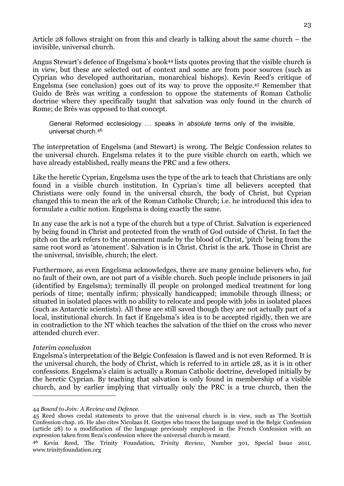Article 28 follows straight on from this and clearly is talking about the same church – the invisible, universal church.

Angus Stewart's defence of Engelsma's book44 lists quotes proving that the visible church is in view, but these are selected out of context and some are from poor sources (such as Cyprian who developed authoritarian, monarchical bishops). Kevin Reed's critique of Engelsma (see conclusion) goes out of its way to prove the opposite.45 Remember that Guido de Brès was writing a confession to oppose the statements of Roman Catholic doctrine where they specifically taught that salvation was only found in the church of Rome; de Brès was opposed to that concept.

General Reformed ecclesiology ... speaks in *absolute* terms only of the invisible, universal church.<sup>46</sup>

The interpretation of Engelsma (and Stewart) is wrong. The Belgic Confession relates to the universal church. Engelsma relates it to the pure visible church on earth, which we have already established, really means the PRC and a few others.

Like the heretic Cyprian, Engelsma uses the type of the ark to teach that Christians are only found in a visible church institution. In Cyprian's time all believers accepted that Christians were only found in the universal church, the body of Christ, but Cyprian changed this to mean the ark of the Roman Catholic Church; i.e. he introduced this idea to formulate a cultic notion. Engelsma is doing exactly the same.

In any case the ark is not a type of the church but a type of Christ. Salvation is experienced by being found in Christ and protected from the wrath of God outside of Christ. In fact the pitch on the ark refers to the atonement made by the blood of Christ, 'pitch' being from the same root word as 'atonement'. Salvation is in Christ. Christ is the ark. Those in Christ are the universal, invisible, church; the elect.

Furthermore, as even Engelsma acknowledges, there are many genuine believers who, for no fault of their own, are not part of a visible church. Such people include prisoners in jail (identified by Engelsma); terminally ill people on prolonged medical treatment for long periods of time; mentally infirm; physically handicapped; immobile through illness; or situated in isolated places with no ability to relocate and people with jobs in isolated places (such as Antarctic scientists). All these are still saved though they are not actually part of a local, institutional church. In fact if Engelsma's idea is to be accepted rigidly, then we are in contradiction to the NT which teaches the salvation of the thief on the cross who never attended church ever.

#### Interim conclusion

 $\overline{a}$ 

Engelsma's interpretation of the Belgic Confession is flawed and is not even Reformed. It is the universal church, the body of Christ, which is referred to in article 28, as it is in other confessions. Engelsma's claim is actually a Roman Catholic doctrine, developed initially by the heretic Cyprian. By teaching that salvation is only found in membership of a visible church, and by earlier implying that virtually only the PRC is a true church, then the

<sup>44</sup> Bound to Join: A Review and Defence.

<sup>45</sup> Reed shows credal statements to prove that the universal church is in view, such as The Scottish Confession chap. 16. He also cites Nicolaas H. Gootjes who traces the language used in the Belgic Confession (article 28) to a modification of the language previously employed in the French Confession with an expression taken from Beza's confession where the universal church is meant.

<sup>46</sup> Kevin Reed, The Trinity Foundation, Trinity Review, Number 301, Special Issue 2011. www.trinityfoundation.org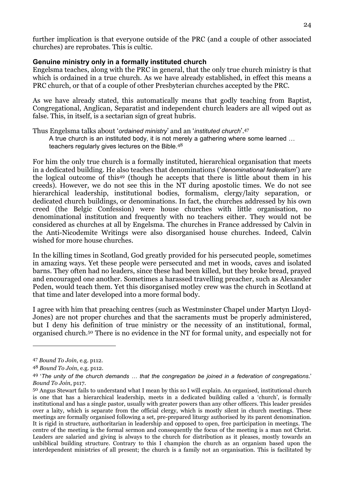further implication is that everyone outside of the PRC (and a couple of other associated churches) are reprobates. This is cultic.

## Genuine ministry only in a formally instituted church

Engelsma teaches, along with the PRC in general, that the only true church ministry is that which is ordained in a true church. As we have already established, in effect this means a PRC church, or that of a couple of other Presbyterian churches accepted by the PRC.

As we have already stated, this automatically means that godly teaching from Baptist, Congregational, Anglican, Separatist and independent church leaders are all wiped out as false. This, in itself, is a sectarian sign of great hubris.

Thus Engelsma talks about 'ordained ministry' and an 'instituted church'.<sup>47</sup>

A true church is an instituted body, it is not merely a gathering where some learned … teachers regularly gives lectures on the Bible.<sup>48</sup>

For him the only true church is a formally instituted, hierarchical organisation that meets in a dedicated building. He also teaches that denominations ('denominational federalism') are the logical outcome of this49 (though he accepts that there is little about them in his creeds). However, we do not see this in the NT during apostolic times. We do not see hierarchical leadership, institutional bodies, formalism, clergy/laity separation, or dedicated church buildings, or denominations. In fact, the churches addressed by his own creed (the Belgic Confession) were house churches with little organisation, no denominational institution and frequently with no teachers either. They would not be considered as churches at all by Engelsma. The churches in France addressed by Calvin in the Anti-Nicodemite Writings were also disorganised house churches. Indeed, Calvin wished for more house churches.

In the killing times in Scotland, God greatly provided for his persecuted people, sometimes in amazing ways. Yet these people were persecuted and met in woods, caves and isolated barns. They often had no leaders, since these had been killed, but they broke bread, prayed and encouraged one another. Sometimes a harassed travelling preacher, such as Alexander Peden, would teach them. Yet this disorganised motley crew was the church in Scotland at that time and later developed into a more formal body.

I agree with him that preaching centres (such as Westminster Chapel under Martyn Lloyd-Jones) are not proper churches and that the sacraments must be properly administered, but I deny his definition of true ministry or the necessity of an institutional, formal, organised church.50 There is no evidence in the NT for formal unity, and especially not for

<sup>47</sup> Bound To Join, e.g. p112.

<sup>48</sup> Bound To Join, e.g. p112.

<sup>49</sup> 'The unity of the church demands … that the congregation be joined in a federation of congregations.' Bound To Join, p117.

<sup>50</sup> Angus Stewart fails to understand what I mean by this so I will explain. An organised, institutional church is one that has a hierarchical leadership, meets in a dedicated building called a 'church', is formally institutional and has a single pastor, usually with greater powers than any other officers. This leader presides over a laity, which is separate from the official clergy, which is mostly silent in church meetings. These meetings are formally organised following a set, pre-prepared liturgy authorised by its parent denomination. It is rigid in structure, authoritarian in leadership and opposed to open, free participation in meetings. The centre of the meeting is the formal sermon and consequently the focus of the meeting is a man not Christ. Leaders are salaried and giving is always to the church for distribution as it pleases, mostly towards an unbiblical building structure. Contrary to this I champion the church as an organism based upon the interdependent ministries of all present; the church is a family not an organisation. This is facilitated by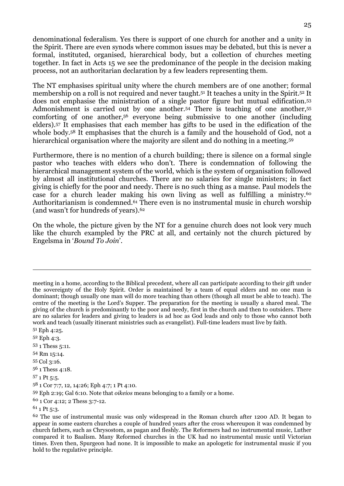denominational federalism. Yes there is support of one church for another and a unity in the Spirit. There are even synods where common issues may be debated, but this is never a formal, instituted, organised, hierarchical body, but a collection of churches meeting together. In fact in Acts 15 we see the predominance of the people in the decision making process, not an authoritarian declaration by a few leaders representing them.

The NT emphasises spiritual unity where the church members are of one another; formal membership on a roll is not required and never taught.51 It teaches a unity in the Spirit.52 It does not emphasise the ministration of a single pastor figure but mutual edification.<sup>53</sup> Admonishment is carried out by one another.<sup>54</sup> There is teaching of one another,<sup>55</sup> comforting of one another,56 everyone being submissive to one another (including elders).57 It emphasises that each member has gifts to be used in the edification of the whole body.58 It emphasises that the church is a family and the household of God, not a hierarchical organisation where the majority are silent and do nothing in a meeting.<sup>59</sup>

Furthermore, there is no mention of a church building; there is silence on a formal single pastor who teaches with elders who don't. There is condemnation of following the hierarchical management system of the world, which is the system of organisation followed by almost all institutional churches. There are no salaries for single ministers; in fact giving is chiefly for the poor and needy. There is no such thing as a manse. Paul models the case for a church leader making his own living as well as fulfilling a ministry.<sup>60</sup> Authoritarianism is condemned.61 There even is no instrumental music in church worship (and wasn't for hundreds of years).<sup>62</sup>

On the whole, the picture given by the NT for a genuine church does not look very much like the church exampled by the PRC at all, and certainly not the church pictured by Engelsma in 'Bound To Join'.

 $\overline{a}$ 

- 52 Eph 4:3.
- 53 1 Thess 5:11.
- 54 Rm 15:14.
- 55 Col 3:16.
- 56 1 Thess 4:18.
- 57 1 Pt 5:5.

58 1 Cor 7:7, 12, 14:26; Eph 4:7; 1 Pt 4:10.

- 59 Eph 2:19; Gal 6:10. Note that oikeios means belonging to a family or a home.
- 60 1 Cor 4:12; 2 Thess 3:7-12.

meeting in a home, according to the Biblical precedent, where all can participate according to their gift under the sovereignty of the Holy Spirit. Order is maintained by a team of equal elders and no one man is dominant; though usually one man will do more teaching than others (though all must be able to teach). The centre of the meeting is the Lord's Supper. The preparation for the meeting is usually a shared meal. The giving of the church is predominantly to the poor and needy, first in the church and then to outsiders. There are no salaries for leaders and giving to leaders is ad hoc as God leads and only to those who cannot both work and teach (usually itinerant ministries such as evangelist). Full-time leaders must live by faith.

<sup>51</sup> Eph 4:25.

 $61$  1 Pt 5:3.

<sup>&</sup>lt;sup>62</sup> The use of instrumental music was only widespread in the Roman church after 1200 AD. It began to appear in some eastern churches a couple of hundred years after the cross whereupon it was condemned by church fathers, such as Chrysostom, as pagan and fleshly. The Reformers had no instrumental music, Luther compared it to Baalism. Many Reformed churches in the UK had no instrumental music until Victorian times. Even then, Spurgeon had none. It is impossible to make an apologetic for instrumental music if you hold to the regulative principle.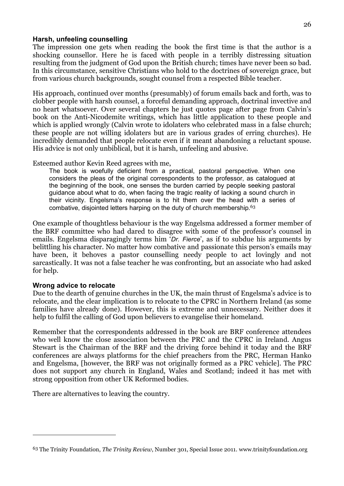# Harsh, unfeeling counselling

The impression one gets when reading the book the first time is that the author is a shocking counsellor. Here he is faced with people in a terribly distressing situation resulting from the judgment of God upon the British church; times have never been so bad. In this circumstance, sensitive Christians who hold to the doctrines of sovereign grace, but from various church backgrounds, sought counsel from a respected Bible teacher.

His approach, continued over months (presumably) of forum emails back and forth, was to clobber people with harsh counsel, a forceful demanding approach, doctrinal invective and no heart whatsoever. Over several chapters he just quotes page after page from Calvin's book on the Anti-Nicodemite writings, which has little application to these people and which is applied wrongly (Calvin wrote to idolaters who celebrated mass in a false church; these people are not willing idolaters but are in various grades of erring churches). He incredibly demanded that people relocate even if it meant abandoning a reluctant spouse. His advice is not only unbiblical, but it is harsh, unfeeling and abusive.

Esteemed author Kevin Reed agrees with me,

The book is woefully deficient from a practical, pastoral perspective. When one considers the pleas of the original correspondents to the professor, as catalogued at the beginning of the book, one senses the burden carried by people seeking pastoral guidance about what to do, when facing the tragic reality of lacking a sound church in their vicinity. Engelsma's response is to hit them over the head with a series of combative, disjointed letters harping on the duty of church membership.<sup>63</sup>

One example of thoughtless behaviour is the way Engelsma addressed a former member of the BRF committee who had dared to disagree with some of the professor's counsel in emails. Engelsma disparagingly terms him 'Dr. Fierce', as if to subdue his arguments by belittling his character. No matter how combative and passionate this person's emails may have been, it behoves a pastor counselling needy people to act lovingly and not sarcastically. It was not a false teacher he was confronting, but an associate who had asked for help.

### Wrong advice to relocate

 $\overline{a}$ 

Due to the dearth of genuine churches in the UK, the main thrust of Engelsma's advice is to relocate, and the clear implication is to relocate to the CPRC in Northern Ireland (as some families have already done). However, this is extreme and unnecessary. Neither does it help to fulfil the calling of God upon believers to evangelise their homeland.

Remember that the correspondents addressed in the book are BRF conference attendees who well know the close association between the PRC and the CPRC in Ireland. Angus Stewart is the Chairman of the BRF and the driving force behind it today and the BRF conferences are always platforms for the chief preachers from the PRC, Herman Hanko and Engelsma, [however, the BRF was not originally formed as a PRC vehicle]. The PRC does not support any church in England, Wales and Scotland; indeed it has met with strong opposition from other UK Reformed bodies.

There are alternatives to leaving the country.

<sup>63</sup> The Trinity Foundation, The Trinity Review, Number 301, Special Issue 2011. www.trinityfoundation.org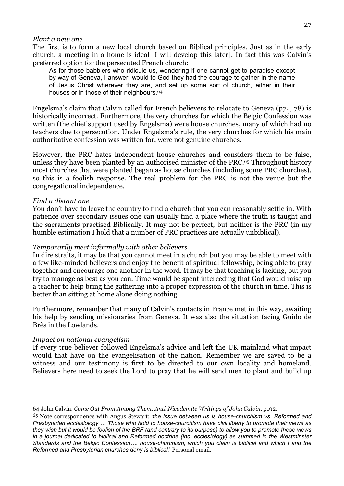#### Plant a new one

The first is to form a new local church based on Biblical principles. Just as in the early church, a meeting in a home is ideal [I will develop this later]. In fact this was Calvin's preferred option for the persecuted French church:

As for those babblers who ridicule us, wondering if one cannot get to paradise except by way of Geneva, I answer: would to God they had the courage to gather in the name of Jesus Christ wherever they are, and set up some sort of church, either in their houses or in those of their neighbours.<sup>64</sup>

Engelsma's claim that Calvin called for French believers to relocate to Geneva (p72, 78) is historically incorrect. Furthermore, the very churches for which the Belgic Confession was written (the chief support used by Engelsma) were house churches, many of which had no teachers due to persecution. Under Engelsma's rule, the very churches for which his main authoritative confession was written for, were not genuine churches.

However, the PRC hates independent house churches and considers them to be false, unless they have been planted by an authorised minister of the PRC.65 Throughout history most churches that were planted began as house churches (including some PRC churches), so this is a foolish response. The real problem for the PRC is not the venue but the congregational independence.

#### Find a distant one

You don't have to leave the country to find a church that you can reasonably settle in. With patience over secondary issues one can usually find a place where the truth is taught and the sacraments practised Biblically. It may not be perfect, but neither is the PRC (in my humble estimation I hold that a number of PRC practices are actually unbiblical).

#### Temporarily meet informally with other believers

In dire straits, it may be that you cannot meet in a church but you may be able to meet with a few like-minded believers and enjoy the benefit of spiritual fellowship, being able to pray together and encourage one another in the word. It may be that teaching is lacking, but you try to manage as best as you can. Time would be spent interceding that God would raise up a teacher to help bring the gathering into a proper expression of the church in time. This is better than sitting at home alone doing nothing.

Furthermore, remember that many of Calvin's contacts in France met in this way, awaiting his help by sending missionaries from Geneva. It was also the situation facing Guido de Brès in the Lowlands.

#### Impact on national evangelism

 $\overline{a}$ 

If every true believer followed Engelsma's advice and left the UK mainland what impact would that have on the evangelisation of the nation. Remember we are saved to be a witness and our testimony is first to be directed to our own locality and homeland. Believers here need to seek the Lord to pray that he will send men to plant and build up

<sup>64</sup> John Calvin, Come Out From Among Them, Anti-Nicodemite Writings of John Calvin, p192.

<sup>&</sup>lt;sup>65</sup> Note correspondence with Angus Stewart: 'the issue between us is house-churchism vs. Reformed and Presbyterian ecclesiology … Those who hold to house-churchism have civil liberty to promote their views as they wish but it would be foolish of the BRF (and contrary to its purpose) to allow you to promote these views in a journal dedicated to biblical and Reformed doctrine (inc. ecclesiology) as summed in the Westminster Standards and the Belgic Confession…. house-churchism, which you claim is biblical and which I and the Reformed and Presbyterian churches deny is biblical.' Personal email.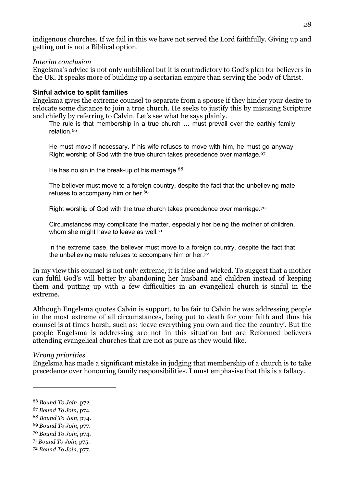indigenous churches. If we fail in this we have not served the Lord faithfully. Giving up and getting out is not a Biblical option.

#### Interim conclusion

Engelsma's advice is not only unbiblical but it is contradictory to God's plan for believers in the UK. It speaks more of building up a sectarian empire than serving the body of Christ.

## Sinful advice to split families

Engelsma gives the extreme counsel to separate from a spouse if they hinder your desire to relocate some distance to join a true church. He seeks to justify this by misusing Scripture and chiefly by referring to Calvin. Let's see what he says plainly.

The rule is that membership in a true church … must prevail over the earthly family relation.<sup>66</sup>

He must move if necessary. If his wife refuses to move with him, he must go anyway. Right worship of God with the true church takes precedence over marriage.<sup>67</sup>

He has no sin in the break-up of his marriage.<sup>68</sup>

The believer must move to a foreign country, despite the fact that the unbelieving mate refuses to accompany him or her.<sup>69</sup>

Right worship of God with the true church takes precedence over marriage.<sup>70</sup>

Circumstances may complicate the matter, especially her being the mother of children, whom she might have to leave as well.<sup>71</sup>

In the extreme case, the believer must move to a foreign country, despite the fact that the unbelieving mate refuses to accompany him or her.<sup>72</sup>

In my view this counsel is not only extreme, it is false and wicked. To suggest that a mother can fulfil God's will better by abandoning her husband and children instead of keeping them and putting up with a few difficulties in an evangelical church is sinful in the extreme.

Although Engelsma quotes Calvin is support, to be fair to Calvin he was addressing people in the most extreme of all circumstances, being put to death for your faith and thus his counsel is at times harsh, such as: 'leave everything you own and flee the country'. But the people Engelsma is addressing are not in this situation but are Reformed believers attending evangelical churches that are not as pure as they would like.

### Wrong priorities

Engelsma has made a significant mistake in judging that membership of a church is to take precedence over honouring family responsibilities. I must emphasise that this is a fallacy.

<sup>66</sup> Bound To Join, p72.

<sup>67</sup> Bound To Join, p74.

<sup>68</sup> Bound To Join, p74.

<sup>69</sup> Bound To Join, p77.

<sup>70</sup> Bound To Join, p74.

<sup>71</sup> Bound To Join, p75.

<sup>72</sup> Bound To Join, p77.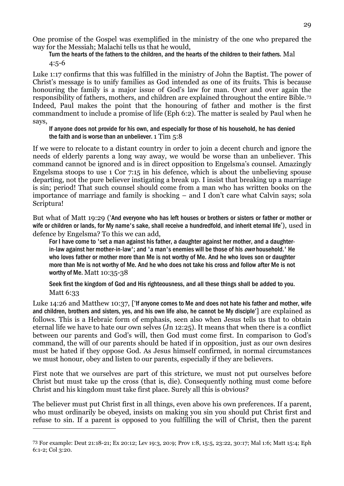One promise of the Gospel was exemplified in the ministry of the one who prepared the way for the Messiah; Malachi tells us that he would,

Turn the hearts of the fathers to the children, and the hearts of the children to their fathers. Mal 4:5-6

Luke 1:17 confirms that this was fulfilled in the ministry of John the Baptist. The power of Christ's message is to unify families as God intended as one of its fruits. This is because honouring the family is a major issue of God's law for man. Over and over again the responsibility of fathers, mothers, and children are explained throughout the entire Bible.<sup>73</sup> Indeed, Paul makes the point that the honouring of father and mother is the first commandment to include a promise of life (Eph 6:2). The matter is sealed by Paul when he says,

If anyone does not provide for his own, and especially for those of his household, he has denied the faith and is worse than an unbeliever. 1  $\text{Tim } 5:8$ 

If we were to relocate to a distant country in order to join a decent church and ignore the needs of elderly parents a long way away, we would be worse than an unbeliever. This command cannot be ignored and is in direct opposition to Engelsma's counsel. Amazingly Engelsma stoops to use 1 Cor 7:15 in his defence, which is about the unbelieving spouse departing, not the pure believer instigating a break up. I insist that breaking up a marriage is sin; period! That such counsel should come from a man who has written books on the importance of marriage and family is shocking – and I don't care what Calvin says; sola Scriptura!

But what of Matt 19:29 ('And everyone who has left houses or brothers or sisters or father or mother or wife or children or lands, for My name's sake, shall receive a hundredfold, and inherit eternal life'), used in defence by Engelsma? To this we can add,

For I have come to 'set a man against his father, a daughter against her mother, and a daughterin-law against her mother-in-law'; and 'a man's enemies will be those of his *own* household.' He who loves father or mother more than Me is not worthy of Me. And he who loves son or daughter more than Me is not worthy of Me. And he who does not take his cross and follow after Me is not worthy of Me. Matt 10:35-38

Seek first the kingdom of God and His righteousness, and all these things shall be added to you. Matt 6:33

Luke 14:26 and Matthew 10:37, ['If anyone comes to Me and does not hate his father and mother, wife and children, brothers and sisters, yes, and his own life also, he cannot be My disciple'] are explained as follows. This is a Hebraic form of emphasis, seen also when Jesus tells us that to obtain eternal life we have to hate our own selves (Jn 12:25). It means that when there is a conflict between our parents and God's will, then God must come first. In comparison to God's command, the will of our parents should be hated if in opposition, just as our own desires must be hated if they oppose God. As Jesus himself confirmed, in normal circumstances we must honour, obey and listen to our parents, especially if they are believers.

First note that we ourselves are part of this stricture, we must not put ourselves before Christ but must take up the cross (that is, die). Consequently nothing must come before Christ and his kingdom must take first place. Surely all this is obvious?

The believer must put Christ first in all things, even above his own preferences. If a parent, who must ordinarily be obeyed, insists on making you sin you should put Christ first and refuse to sin. If a parent is opposed to you fulfilling the will of Christ, then the parent

<sup>73</sup> For example: Deut 21:18-21; Ex 20:12; Lev 19:3, 20:9; Prov 1:8, 15:5, 23:22, 30:17; Mal 1:6; Matt 15:4; Eph 6:1-2; Col 3:20.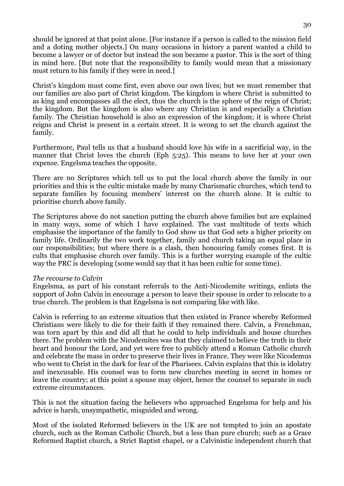should be ignored at that point alone. [For instance if a person is called to the mission field and a doting mother objects.] On many occasions in history a parent wanted a child to become a lawyer or of doctor but instead the son became a pastor. This is the sort of thing in mind here. [But note that the responsibility to family would mean that a missionary must return to his family if they were in need.]

Christ's kingdom must come first, even above our own lives; but we must remember that our families are also part of Christ kingdom. The kingdom is where Christ is submitted to as king and encompasses all the elect, thus the church is the sphere of the reign of Christ; the kingdom. But the kingdom is also where any Christian is and especially a Christian family. The Christian household is also an expression of the kingdom; it is where Christ reigns and Christ is present in a certain street. It is wrong to set the church against the family.

Furthermore, Paul tells us that a husband should love his wife in a sacrificial way, in the manner that Christ loves the church (Eph 5:25). This means to love her at your own expense. Engelsma teaches the opposite.

There are no Scriptures which tell us to put the local church above the family in our priorities and this is the cultic mistake made by many Charismatic churches, which tend to separate families by focusing members' interest on the church alone. It is cultic to prioritise church above family.

The Scriptures above do not sanction putting the church above families but are explained in many ways, some of which I have explained. The vast multitude of texts which emphasise the importance of the family to God show us that God sets a higher priority on family life. Ordinarily the two work together, family and church taking an equal place in our responsibilities; but where there is a clash, then honouring family comes first. It is cults that emphasise church over family. This is a further worrying example of the cultic way the PRC is developing (some would say that it has been cultic for some time).

#### The recourse to Calvin

Engelsma, as part of his constant referrals to the Anti-Nicodemite writings, enlists the support of John Calvin in encourage a person to leave their spouse in order to relocate to a true church. The problem is that Engelsma is not comparing like with like.

Calvin is referring to an extreme situation that then existed in France whereby Reformed Christians were likely to die for their faith if they remained there. Calvin, a Frenchman, was torn apart by this and did all that he could to help individuals and house churches there. The problem with the Nicodemites was that they claimed to believe the truth in their heart and honour the Lord, and yet were free to publicly attend a Roman Catholic church and celebrate the mass in order to preserve their lives in France. They were like Nicodemus who went to Christ in the dark for fear of the Pharisees. Calvin explains that this is idolatry and inexcusable. His counsel was to form new churches meeting in secret in homes or leave the country; at this point a spouse may object, hence the counsel to separate in such extreme circumstances.

This is not the situation facing the believers who approached Engelsma for help and his advice is harsh, unsympathetic, misguided and wrong.

Most of the isolated Reformed believers in the UK are not tempted to join an apostate church, such as the Roman Catholic Church, but a less than pure church; such as a Grace Reformed Baptist church, a Strict Baptist chapel, or a Calvinistic independent church that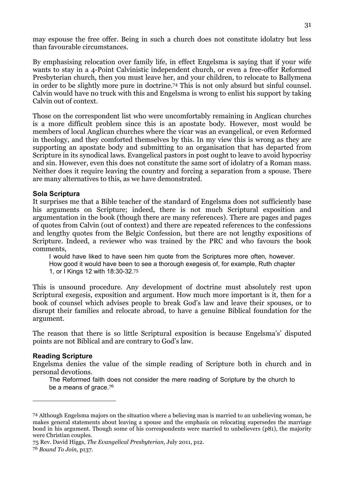may espouse the free offer. Being in such a church does not constitute idolatry but less than favourable circumstances.

By emphasising relocation over family life, in effect Engelsma is saying that if your wife wants to stay in a 4-Point Calvinistic independent church, or even a free-offer Reformed Presbyterian church, then you must leave her, and your children, to relocate to Ballymena in order to be slightly more pure in doctrine.74 This is not only absurd but sinful counsel. Calvin would have no truck with this and Engelsma is wrong to enlist his support by taking Calvin out of context.

Those on the correspondent list who were uncomfortably remaining in Anglican churches is a more difficult problem since this is an apostate body. However, most would be members of local Anglican churches where the vicar was an evangelical, or even Reformed in theology, and they comforted themselves by this. In my view this is wrong as they are supporting an apostate body and submitting to an organisation that has departed from Scripture in its synodical laws. Evangelical pastors in post ought to leave to avoid hypocrisy and sin. However, even this does not constitute the same sort of idolatry of a Roman mass. Neither does it require leaving the country and forcing a separation from a spouse. There are many alternatives to this, as we have demonstrated.

### Sola Scriptura

It surprises me that a Bible teacher of the standard of Engelsma does not sufficiently base his arguments on Scripture; indeed, there is not much Scriptural exposition and argumentation in the book (though there are many references). There are pages and pages of quotes from Calvin (out of context) and there are repeated references to the confessions and lengthy quotes from the Belgic Confession, but there are not lengthy expositions of Scripture. Indeed, a reviewer who was trained by the PRC and who favours the book comments,

I would have liked to have seen him quote from the Scriptures more often, however. How good it would have been to see a thorough exegesis of, for example, Ruth chapter 1, or I Kings 12 with 18:30-32.<sup>75</sup>

This is unsound procedure. Any development of doctrine must absolutely rest upon Scriptural exegesis, exposition and argument. How much more important is it, then for a book of counsel which advises people to break God's law and leave their spouses, or to disrupt their families and relocate abroad, to have a genuine Biblical foundation for the argument.

The reason that there is so little Scriptural exposition is because Engelsma's' disputed points are not Biblical and are contrary to God's law.

### Reading Scripture

 $\overline{a}$ 

Engelsma denies the value of the simple reading of Scripture both in church and in personal devotions.

The Reformed faith does not consider the mere reading of Scripture by the church to be a means of grace.<sup>76</sup>

<sup>74</sup> Although Engelsma majors on the situation where a believing man is married to an unbelieving woman, he makes general statements about leaving a spouse and the emphasis on relocating supersedes the marriage bond in his argument. Though some of his correspondents were married to unbelievers (p81), the majority were Christian couples.

<sup>75</sup> Rev. David Higgs, The Evangelical Presbyterian, July 2011, p12.

<sup>76</sup> Bound To Join, p137.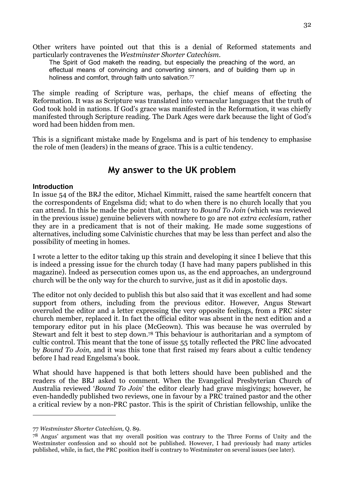Other writers have pointed out that this is a denial of Reformed statements and particularly contravenes the Westminster Shorter Catechism.

The Spirit of God maketh the reading, but especially the preaching of the word, an effectual means of convincing and converting sinners, and of building them up in holiness and comfort, through faith unto salvation.<sup>77</sup>

The simple reading of Scripture was, perhaps, the chief means of effecting the Reformation. It was as Scripture was translated into vernacular languages that the truth of God took hold in nations. If God's grace was manifested in the Reformation, it was chiefly manifested through Scripture reading. The Dark Ages were dark because the light of God's word had been hidden from men.

This is a significant mistake made by Engelsma and is part of his tendency to emphasise the role of men (leaders) in the means of grace. This is a cultic tendency.

# My answer to the UK problem

### Introduction

In issue 54 of the BRJ the editor, Michael Kimmitt, raised the same heartfelt concern that the correspondents of Engelsma did; what to do when there is no church locally that you can attend. In this he made the point that, contrary to Bound To Join (which was reviewed in the previous issue) genuine believers with nowhere to go are not extra ecclesiam, rather they are in a predicament that is not of their making. He made some suggestions of alternatives, including some Calvinistic churches that may be less than perfect and also the possibility of meeting in homes.

I wrote a letter to the editor taking up this strain and developing it since I believe that this is indeed a pressing issue for the church today (I have had many papers published in this magazine). Indeed as persecution comes upon us, as the end approaches, an underground church will be the only way for the church to survive, just as it did in apostolic days.

The editor not only decided to publish this but also said that it was excellent and had some support from others, including from the previous editor. However, Angus Stewart overruled the editor and a letter expressing the very opposite feelings, from a PRC sister church member, replaced it. In fact the official editor was absent in the next edition and a temporary editor put in his place (McGeown). This was because he was overruled by Stewart and felt it best to step down.78 This behaviour is authoritarian and a symptom of cultic control. This meant that the tone of issue 55 totally reflected the PRC line advocated by Bound To Join, and it was this tone that first raised my fears about a cultic tendency before I had read Engelsma's book.

What should have happened is that both letters should have been published and the readers of the BRJ asked to comment. When the Evangelical Presbyterian Church of Australia reviewed 'Bound To Join' the editor clearly had grave misgivings; however, he even-handedly published two reviews, one in favour by a PRC trained pastor and the other a critical review by a non-PRC pastor. This is the spirit of Christian fellowship, unlike the

I

<sup>77</sup> Westminster Shorter Catechism, Q. 89.

<sup>78</sup> Angus' argument was that my overall position was contrary to the Three Forms of Unity and the Westminster confession and so should not be published. However, I had previously had many articles published, while, in fact, the PRC position itself is contrary to Westminster on several issues (see later).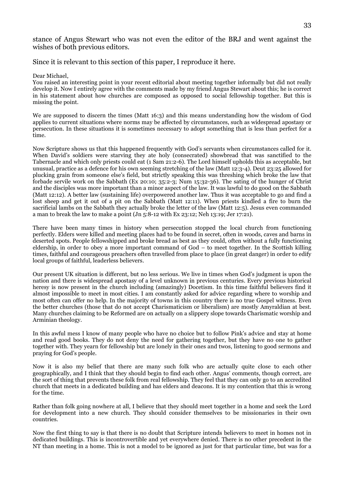stance of Angus Stewart who was not even the editor of the BRJ and went against the wishes of both previous editors.

Since it is relevant to this section of this paper, I reproduce it here.

Dear Michael,

You raised an interesting point in your recent editorial about meeting together informally but did not really develop it. Now I entirely agree with the comments made by my friend Angus Stewart about this; he is correct in his statement about how churches are composed as opposed to social fellowship together. But this is missing the point.

We are supposed to discern the times (Matt 16:3) and this means understanding how the wisdom of God applies to current situations where norms may be affected by circumstances, such as widespread apostasy or persecution. In these situations it is sometimes necessary to adopt something that is less than perfect for a time.

Now Scripture shows us that this happened frequently with God's servants when circumstances called for it. When David's soldiers were starving they ate holy (consecrated) showbread that was sanctified to the Tabernacle and which only priests could eat (1 Sam 21:2-6). The Lord himself upholds this as acceptable, but unusual, practice as a defence for his own seeming stretching of the law (Matt 12:3-4). Deut 23:25 allowed for plucking grain from someone else's field, but strictly speaking this was threshing which broke the law that forbade servile work on the Sabbath (Ex 20:10; 35:2-3; Num 15:32-36). The sating of the hunger of Christ and the disciples was more important than a minor aspect of the law. It was lawful to do good on the Sabbath (Matt 12:12). A better law (sustaining life) overpowered another law. Thus it was acceptable to go and find a lost sheep and get it out of a pit on the Sabbath (Matt 12:11). When priests kindled a fire to burn the sacrificial lambs on the Sabbath they actually broke the letter of the law (Matt 12:5). Jesus even commanded a man to break the law to make a point (Jn 5:8-12 with Ex 23:12; Neh 13:19; Jer 17:21).

There have been many times in history when persecution stopped the local church from functioning perfectly. Elders were killed and meeting places had to be found in secret, often in woods, caves and barns in deserted spots. People fellowshipped and broke bread as best as they could, often without a fully functioning eldership, in order to obey a more important command of God – to meet together. In the Scottish killing times, faithful and courageous preachers often travelled from place to place (in great danger) in order to edify local groups of faithful, leaderless believers.

Our present UK situation is different, but no less serious. We live in times when God's judgment is upon the nation and there is widespread apostasy of a level unknown in previous centuries. Every previous historical heresy is now present in the church including (amazingly) Docetism. In this time faithful believers find it almost impossible to meet in most cities. I am constantly asked for advice regarding where to worship and most often can offer no help. In the majority of towns in this country there is no true Gospel witness. Even the better churches (those that do not accept Charismaticism or liberalism) are mostly Amyraldian at best. Many churches claiming to be Reformed are on actually on a slippery slope towards Charismatic worship and Arminian theology.

In this awful mess I know of many people who have no choice but to follow Pink's advice and stay at home and read good books. They do not deny the need for gathering together, but they have no one to gather together with. They yearn for fellowship but are lonely in their ones and twos, listening to good sermons and praying for God's people.

Now it is also my belief that there are many such folk who are actually quite close to each other geographically, and I think that they should begin to find each other. Angus' comments, though correct, are the sort of thing that prevents these folk from real fellowship. They feel that they can only go to an accredited church that meets in a dedicated building and has elders and deacons. It is my contention that this is wrong for the time.

Rather than folk going nowhere at all, I believe that they should meet together in a home and seek the Lord for development into a new church. They should consider themselves to be missionaries in their own countries.

Now the first thing to say is that there is no doubt that Scripture intends believers to meet in homes not in dedicated buildings. This is incontrovertible and yet everywhere denied. There is no other precedent in the NT than meeting in a home. This is not a model to be ignored as just for that particular time, but was for a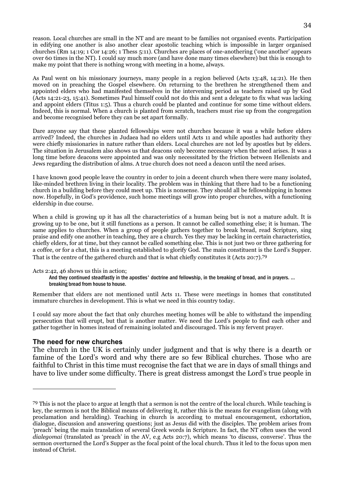reason. Local churches are small in the NT and are meant to be families not organised events. Participation in edifying one another is also another clear apostolic teaching which is impossible in larger organised churches (Rm 14:19; 1 Cor 14:26; 1 Thess 5:11). Churches are places of one-anothering ('one another' appears over 60 times in the NT). I could say much more (and have done many times elsewhere) but this is enough to make my point that there is nothing wrong with meeting in a home, always.

As Paul went on his missionary journeys, many people in a region believed (Acts 13:48, 14:21). He then moved on in preaching the Gospel elsewhere. On returning to the brethren he strengthened them and appointed elders who had manifested themselves in the intervening period as teachers raised up by God (Acts 14:21-23, 15:41). Sometimes Paul himself could not do this and sent a delegate to fix what was lacking and appoint elders (Titus 1:5). Thus a church could be planted and continue for some time without elders. Indeed, this is normal. When a church is planted from scratch, teachers must rise up from the congregation and become recognised before they can be set apart formally.

Dare anyone say that these planted fellowships were not churches because it was a while before elders arrived? Indeed, the churches in Judaea had no elders until Acts 11 and while apostles had authority they were chiefly missionaries in nature rather than elders. Local churches are not led by apostles but by elders. The situation in Jerusalem also shows us that deacons only become necessary when the need arises. It was a long time before deacons were appointed and was only necessitated by the friction between Hellenists and Jews regarding the distribution of alms. A true church does not need a deacon until the need arises.

I have known good people leave the country in order to join a decent church when there were many isolated, like-minded brethren living in their locality. The problem was in thinking that there had to be a functioning church in a building before they could meet up. This is nonsense. They should all be fellowshipping in homes now. Hopefully, in God's providence, such home meetings will grow into proper churches, with a functioning eldership in due course.

When a child is growing up it has all the characteristics of a human being but is not a mature adult. It is growing up to be one, but it still functions as a person. It cannot be called something else; it is human. The same applies to churches. When a group of people gathers together to break bread, read Scripture, sing praise and edify one another in teaching, they are a church. Yes they may be lacking in certain characteristics, chiefly elders, for at time, but they cannot be called something else. This is not just two or three gathering for a coffee, or for a chat, this is a meeting established to glorify God. The main constituent is the Lord's Supper. That is the centre of the gathered church and that is what chiefly constitutes it (Acts 20:7).79

#### Acts 2:42, 46 shows us this in action;

And they continued steadfastly in the apostles' doctrine and fellowship, in the breaking of bread, and in prayers. … breaking bread from house to house.

Remember that elders are not mentioned until Acts 11. These were meetings in homes that constituted immature churches in development. This is what we need in this country today.

I could say more about the fact that only churches meeting homes will be able to withstand the impending persecution that will erupt, but that is another matter. We need the Lord's people to find each other and gather together in homes instead of remaining isolated and discouraged. This is my fervent prayer.

#### The need for new churches

 $\overline{a}$ 

The church in the UK is certainly under judgment and that is why there is a dearth or famine of the Lord's word and why there are so few Biblical churches. Those who are faithful to Christ in this time must recognise the fact that we are in days of small things and have to live under some difficulty. There is great distress amongst the Lord's true people in

<sup>79</sup> This is not the place to argue at length that a sermon is not the centre of the local church. While teaching is key, the sermon is not the Biblical means of delivering it, rather this is the means for evangelism (along with proclamation and heralding). Teaching in church is according to mutual encouragement, exhortation, dialogue, discussion and answering questions; just as Jesus did with the disciples. The problem arises from 'preach' being the main translation of several Greek words in Scripture. In fact, the NT often uses the word dialegomai (translated as 'preach' in the AV, e.g Acts 20:7), which means 'to discuss, converse'. Thus the sermon overturned the Lord's Supper as the focal point of the local church. Thus it led to the focus upon men instead of Christ.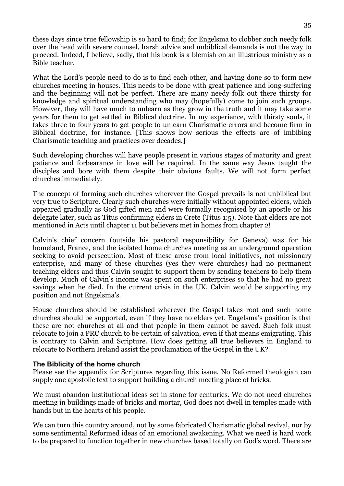these days since true fellowship is so hard to find; for Engelsma to clobber such needy folk over the head with severe counsel, harsh advice and unbiblical demands is not the way to proceed. Indeed, I believe, sadly, that his book is a blemish on an illustrious ministry as a Bible teacher.

What the Lord's people need to do is to find each other, and having done so to form new churches meeting in houses. This needs to be done with great patience and long-suffering and the beginning will not be perfect. There are many needy folk out there thirsty for knowledge and spiritual understanding who may (hopefully) come to join such groups. However, they will have much to unlearn as they grow in the truth and it may take some years for them to get settled in Biblical doctrine. In my experience, with thirsty souls, it takes three to four years to get people to unlearn Charismatic errors and become firm in Biblical doctrine, for instance. [This shows how serious the effects are of imbibing Charismatic teaching and practices over decades.]

Such developing churches will have people present in various stages of maturity and great patience and forbearance in love will be required. In the same way Jesus taught the disciples and bore with them despite their obvious faults. We will not form perfect churches immediately.

The concept of forming such churches wherever the Gospel prevails is not unbiblical but very true to Scripture. Clearly such churches were initially without appointed elders, which appeared gradually as God gifted men and were formally recognised by an apostle or his delegate later, such as Titus confirming elders in Crete (Titus 1:5). Note that elders are not mentioned in Acts until chapter 11 but believers met in homes from chapter 2!

Calvin's chief concern (outside his pastoral responsibility for Geneva) was for his homeland, France, and the isolated home churches meeting as an underground operation seeking to avoid persecution. Most of these arose from local initiatives, not missionary enterprise, and many of these churches (yes they were churches) had no permanent teaching elders and thus Calvin sought to support them by sending teachers to help them develop. Much of Calvin's income was spent on such enterprises so that he had no great savings when he died. In the current crisis in the UK, Calvin would be supporting my position and not Engelsma's.

House churches should be established wherever the Gospel takes root and such home churches should be supported, even if they have no elders yet. Engelsma's position is that these are not churches at all and that people in them cannot be saved. Such folk must relocate to join a PRC church to be certain of salvation, even if that means emigrating. This is contrary to Calvin and Scripture. How does getting all true believers in England to relocate to Northern Ireland assist the proclamation of the Gospel in the UK?

#### The Biblicity of the home church

Please see the appendix for Scriptures regarding this issue. No Reformed theologian can supply one apostolic text to support building a church meeting place of bricks.

We must abandon institutional ideas set in stone for centuries. We do not need churches meeting in buildings made of bricks and mortar, God does not dwell in temples made with hands but in the hearts of his people.

We can turn this country around, not by some fabricated Charismatic global revival, nor by some sentimental Reformed ideas of an emotional awakening. What we need is hard work to be prepared to function together in new churches based totally on God's word. There are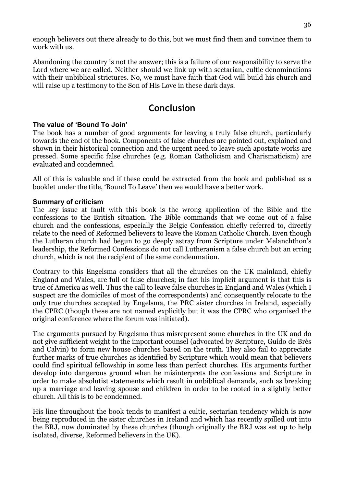enough believers out there already to do this, but we must find them and convince them to work with us.

Abandoning the country is not the answer; this is a failure of our responsibility to serve the Lord where we are called. Neither should we link up with sectarian, cultic denominations with their unbiblical strictures. No, we must have faith that God will build his church and will raise up a testimony to the Son of His Love in these dark days.

# Conclusion

# The value of 'Bound To Join'

The book has a number of good arguments for leaving a truly false church, particularly towards the end of the book. Components of false churches are pointed out, explained and shown in their historical connection and the urgent need to leave such apostate works are pressed. Some specific false churches (e.g. Roman Catholicism and Charismaticism) are evaluated and condemned.

All of this is valuable and if these could be extracted from the book and published as a booklet under the title, 'Bound To Leave' then we would have a better work.

# Summary of criticism

The key issue at fault with this book is the wrong application of the Bible and the confessions to the British situation. The Bible commands that we come out of a false church and the confessions, especially the Belgic Confession chiefly referred to, directly relate to the need of Reformed believers to leave the Roman Catholic Church. Even though the Lutheran church had begun to go deeply astray from Scripture under Melanchthon's leadership, the Reformed Confessions do not call Lutheranism a false church but an erring church, which is not the recipient of the same condemnation.

Contrary to this Engelsma considers that all the churches on the UK mainland, chiefly England and Wales, are full of false churches; in fact his implicit argument is that this is true of America as well. Thus the call to leave false churches in England and Wales (which I suspect are the domiciles of most of the correspondents) and consequently relocate to the only true churches accepted by Engelsma, the PRC sister churches in Ireland, especially the CPRC (though these are not named explicitly but it was the CPRC who organised the original conference where the forum was initiated).

The arguments pursued by Engelsma thus misrepresent some churches in the UK and do not give sufficient weight to the important counsel (advocated by Scripture, Guido de Brès and Calvin) to form new house churches based on the truth. They also fail to appreciate further marks of true churches as identified by Scripture which would mean that believers could find spiritual fellowship in some less than perfect churches. His arguments further develop into dangerous ground when he misinterprets the confessions and Scripture in order to make absolutist statements which result in unbiblical demands, such as breaking up a marriage and leaving spouse and children in order to be rooted in a slightly better church. All this is to be condemned.

His line throughout the book tends to manifest a cultic, sectarian tendency which is now being reproduced in the sister churches in Ireland and which has recently spilled out into the BRJ, now dominated by these churches (though originally the BRJ was set up to help isolated, diverse, Reformed believers in the UK).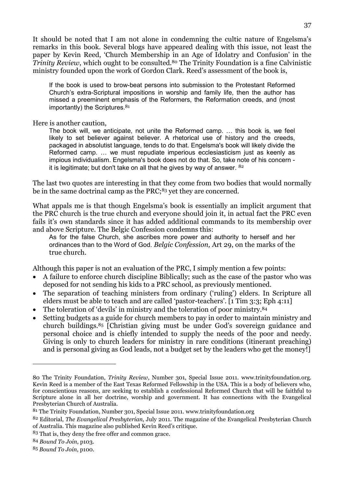It should be noted that I am not alone in condemning the cultic nature of Engelsma's remarks in this book. Several blogs have appeared dealing with this issue, not least the paper by Kevin Reed, 'Church Membership in an Age of Idolatry and Confusion' in the Trinity Review, which ought to be consulted.80 The Trinity Foundation is a fine Calvinistic ministry founded upon the work of Gordon Clark. Reed's assessment of the book is,

If the book is used to brow-beat persons into submission to the Protestant Reformed Church's extra-Scriptural impositions in worship and family life, then the author has missed a preeminent emphasis of the Reformers, the Reformation creeds, and (most importantly) the Scriptures.<sup>81</sup>

#### Here is another caution,

The book will, we anticipate, not unite the Reformed camp. … this book is, we feel likely to set believer against believer. A rhetorical use of history and the creeds, packaged in absolutist language, tends to do that. Engelsma's book will likely divide the Reformed camp. … we must repudiate imperious ecclesiasticism just as keenly as impious individualism. Engelsma's book does not do that. So, take note of his concern it is legitimate; but don't take on all that he gives by way of answer,  $82$ 

The last two quotes are interesting in that they come from two bodies that would normally be in the same doctrinal camp as the PRC;<sup>83</sup> yet they are concerned.

What appals me is that though Engelsma's book is essentially an implicit argument that the PRC church is the true church and everyone should join it, in actual fact the PRC even fails it's own standards since it has added additional commands to its membership over and above Scripture. The Belgic Confession condemns this:

As for the false Church, she ascribes more power and authority to herself and her ordinances than to the Word of God. Belgic Confession, Art 29, on the marks of the true church.

Although this paper is not an evaluation of the PRC, I simply mention a few points:

- A failure to enforce church discipline Biblically; such as the case of the pastor who was deposed for not sending his kids to a PRC school, as previously mentioned.
- The separation of teaching ministers from ordinary ('ruling') elders. In Scripture all elders must be able to teach and are called 'pastor-teachers'. [1 Tim 3:3; Eph 4:11]
- The toleration of 'devils' in ministry and the toleration of poor ministry.<sup>84</sup>
- Setting budgets as a guide for church members to pay in order to maintain ministry and church buildings.85 [Christian giving must be under God's sovereign guidance and personal choice and is chiefly intended to supply the needs of the poor and needy. Giving is only to church leaders for ministry in rare conditions (itinerant preaching) and is personal giving as God leads, not a budget set by the leaders who get the money!]

<sup>80</sup> The Trinity Foundation, Trinity Review, Number 301, Special Issue 2011. www.trinityfoundation.org. Kevin Reed is a member of the East Texas Reformed Fellowship in the USA. This is a body of believers who, for conscientious reasons, are seeking to establish a confessional Reformed Church that will be faithful to Scripture alone in all her doctrine, worship and government. It has connections with the Evangelical Presbyterian Church of Australia.

<sup>81</sup> The Trinity Foundation, Number 301, Special Issue 2011. www.trinityfoundation.org

<sup>&</sup>lt;sup>82</sup> Editorial, *The Evangelical Presbyterian*, July 2011. The magazine of the Evangelical Presbyterian Church of Australia. This magazine also published Kevin Reed's critique.

<sup>83</sup> That is, they deny the free offer and common grace.

<sup>84</sup> Bound To Join, p103.

<sup>85</sup> Bound To Join, p100.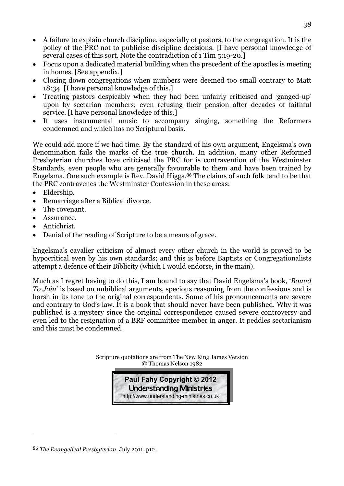- A failure to explain church discipline, especially of pastors, to the congregation. It is the policy of the PRC not to publicise discipline decisions. [I have personal knowledge of several cases of this sort. Note the contradiction of 1 Tim 5:19-20.]
- Focus upon a dedicated material building when the precedent of the apostles is meeting in homes. [See appendix.]
- Closing down congregations when numbers were deemed too small contrary to Matt 18:34. [I have personal knowledge of this.]
- Treating pastors despicably when they had been unfairly criticised and 'ganged-up' upon by sectarian members; even refusing their pension after decades of faithful service. [I have personal knowledge of this.]
- It uses instrumental music to accompany singing, something the Reformers condemned and which has no Scriptural basis.

We could add more if we had time. By the standard of his own argument, Engelsma's own denomination fails the marks of the true church. In addition, many other Reformed Presbyterian churches have criticised the PRC for is contravention of the Westminster Standards, even people who are generally favourable to them and have been trained by Engelsma. One such example is Rev. David Higgs.86 The claims of such folk tend to be that the PRC contravenes the Westminster Confession in these areas:

- Eldership.
- Remarriage after a Biblical divorce.
- The covenant.
- Assurance.
- Antichrist.

 $\overline{a}$ 

• Denial of the reading of Scripture to be a means of grace.

Engelsma's cavalier criticism of almost every other church in the world is proved to be hypocritical even by his own standards; and this is before Baptists or Congregationalists attempt a defence of their Biblicity (which I would endorse, in the main).

Much as I regret having to do this, I am bound to say that David Engelsma's book, 'Bound To Join' is based on unbiblical arguments, specious reasoning from the confessions and is harsh in its tone to the original correspondents. Some of his pronouncements are severe and contrary to God's law. It is a book that should never have been published. Why it was published is a mystery since the original correspondence caused severe controversy and even led to the resignation of a BRF committee member in anger. It peddles sectarianism and this must be condemned.

> Scripture quotations are from The New King James Version © Thomas Nelson 1982



<sup>86</sup> The Evangelical Presbyterian, July 2011, p12.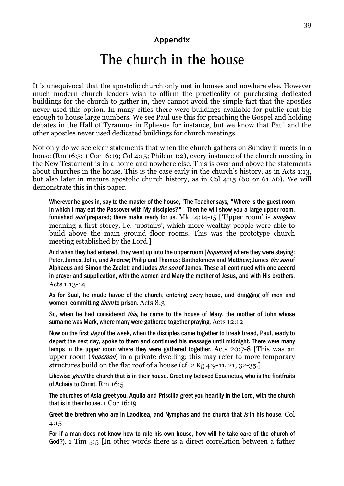# Appendix

# The church in the house

It is unequivocal that the apostolic church only met in houses and nowhere else. However much modern church leaders wish to affirm the practicality of purchasing dedicated buildings for the church to gather in, they cannot avoid the simple fact that the apostles never used this option. In many cities there were buildings available for public rent big enough to house large numbers. We see Paul use this for preaching the Gospel and holding debates in the Hall of Tyrannus in Ephesus for instance, but we know that Paul and the other apostles never used dedicated buildings for church meetings.

Not only do we see clear statements that when the church gathers on Sunday it meets in a house (Rm 16:5; 1 Cor 16:19; Col 4:15; Philem 1:2), every instance of the church meeting in the New Testament is in a home and nowhere else. This is over and above the statements about churches in the house. This is the case early in the church's history, as in Acts 1:13, but also later in mature apostolic church history, as in Col 4:15 (60 or 61 AD). We will demonstrate this in this paper.

Wherever he goes in, say to the master of the house, 'The Teacher says, "Where is the guest room in which I may eat the Passover with My disciples?"' Then he will show you a large upper room, furnished *and* prepared; there make ready for us. Mk  $14:14-15$  ['Upper room' is *anogeon* meaning a first storey, i.e. 'upstairs', which more wealthy people were able to build above the main ground floor rooms. This was the prototype church meeting established by the Lord.]

And when they had entered, they went up into the upper room [*huperoon*] where they were staying: Peter, James, John, and Andrew; Philip and Thomas; Bartholomew and Matthew; James *the son* of Alphaeus and Simon the Zealot; and Judas the son of James. These all continued with one accord in prayer and supplication, with the women and Mary the mother of Jesus, and with His brothers. Acts 1:13-14

As for Saul, he made havoc of the church, entering every house, and dragging off men and women, committing *them* to prison. Acts 8:3

So, when he had considered *this*, he came to the house of Mary, the mother of John whose surname was Mark, where many were gathered together praying. Acts 12:12

Now on the first *day* of the week, when the disciples came together to break bread, Paul, ready to depart the next day, spoke to them and continued his message until midnight. There were many lamps in the upper room where they were gathered together. Acts 20:7-8 [This was an upper room (*huperoon*) in a private dwelling; this may refer to more temporary structures build on the flat roof of a house (cf. 2 Kg 4:9-11, 21, 32-35.]

Likewise *greet* the church that is in their house. Greet my beloved Epaenetus, who is the firstfruits of Achaia to Christ. Rm 16:5

The churches of Asia greet you. Aquila and Priscilla greet you heartily in the Lord, with the church that is in their house. 1 Cor 16:19

Greet the brethren who are in Laodicea, and Nymphas and the church that  $i$ s in his house. Col 4:15

For if a man does not know how to rule his own house, how will he take care of the church of God?). 1 Tim 3:5 [In other words there is a direct correlation between a father